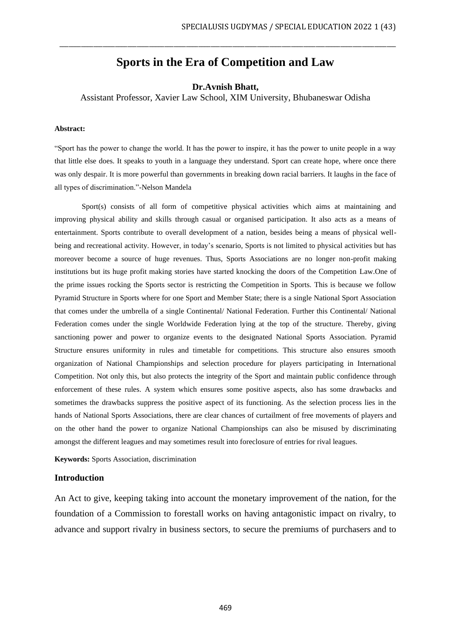# **Sports in the Era of Competition and Law**

\_\_\_\_\_\_\_\_\_\_\_\_\_\_\_\_\_\_\_\_\_\_\_\_\_\_\_\_\_\_\_\_\_\_\_\_\_\_\_\_\_\_\_\_\_\_\_\_\_\_\_\_\_\_\_\_\_\_\_\_\_\_\_\_\_\_\_\_\_\_\_\_\_\_\_\_\_\_\_\_\_\_\_\_\_\_\_\_\_\_\_\_\_\_\_\_\_\_\_\_\_\_\_\_\_\_\_\_\_

### **Dr.Avnish Bhatt,**

Assistant Professor, Xavier Law School, XIM University, Bhubaneswar Odisha

#### **Abstract:**

"Sport has the power to change the world. It has the power to inspire, it has the power to unite people in a way that little else does. It speaks to youth in a language they understand. Sport can create hope, where once there was only despair. It is more powerful than governments in breaking down racial barriers. It laughs in the face of all types of discrimination."-Nelson Mandela

Sport(s) consists of all form of competitive physical activities which aims at maintaining and improving physical ability and skills through casual or organised participation. It also acts as a means of entertainment. Sports contribute to overall development of a nation, besides being a means of physical wellbeing and recreational activity. However, in today's scenario, Sports is not limited to physical activities but has moreover become a source of huge revenues. Thus, Sports Associations are no longer non-profit making institutions but its huge profit making stories have started knocking the doors of the Competition Law.One of the prime issues rocking the Sports sector is restricting the Competition in Sports. This is because we follow Pyramid Structure in Sports where for one Sport and Member State; there is a single National Sport Association that comes under the umbrella of a single Continental/ National Federation. Further this Continental/ National Federation comes under the single Worldwide Federation lying at the top of the structure. Thereby, giving sanctioning power and power to organize events to the designated National Sports Association. Pyramid Structure ensures uniformity in rules and timetable for competitions. This structure also ensures smooth organization of National Championships and selection procedure for players participating in International Competition. Not only this, but also protects the integrity of the Sport and maintain public confidence through enforcement of these rules. A system which ensures some positive aspects, also has some drawbacks and sometimes the drawbacks suppress the positive aspect of its functioning. As the selection process lies in the hands of National Sports Associations, there are clear chances of curtailment of free movements of players and on the other hand the power to organize National Championships can also be misused by discriminating amongst the different leagues and may sometimes result into foreclosure of entries for rival leagues.

**Keywords:** Sports Association, discrimination

### **Introduction**

An Act to give, keeping taking into account the monetary improvement of the nation, for the foundation of a Commission to forestall works on having antagonistic impact on rivalry, to advance and support rivalry in business sectors, to secure the premiums of purchasers and to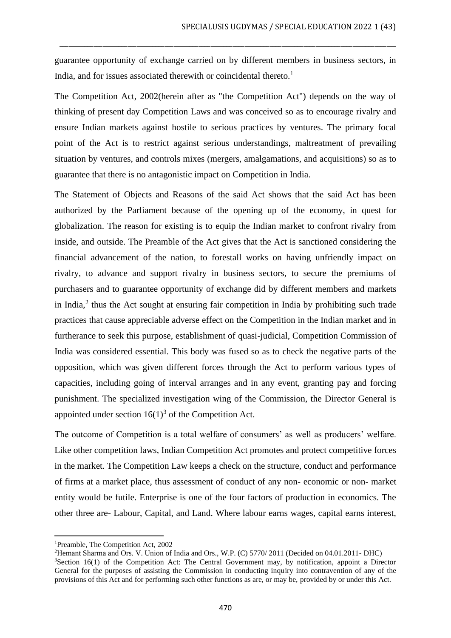guarantee opportunity of exchange carried on by different members in business sectors, in India, and for issues associated therewith or coincidental thereto.<sup>1</sup>

\_\_\_\_\_\_\_\_\_\_\_\_\_\_\_\_\_\_\_\_\_\_\_\_\_\_\_\_\_\_\_\_\_\_\_\_\_\_\_\_\_\_\_\_\_\_\_\_\_\_\_\_\_\_\_\_\_\_\_\_\_\_\_\_\_\_\_\_\_\_\_\_\_\_\_\_\_\_\_\_\_\_\_\_\_\_\_\_\_\_\_\_\_\_\_\_\_\_\_\_\_\_\_\_\_\_\_\_\_

The Competition Act, 2002(herein after as "the Competition Act") depends on the way of thinking of present day Competition Laws and was conceived so as to encourage rivalry and ensure Indian markets against hostile to serious practices by ventures. The primary focal point of the Act is to restrict against serious understandings, maltreatment of prevailing situation by ventures, and controls mixes (mergers, amalgamations, and acquisitions) so as to guarantee that there is no antagonistic impact on Competition in India.

The Statement of Objects and Reasons of the said Act shows that the said Act has been authorized by the Parliament because of the opening up of the economy, in quest for globalization. The reason for existing is to equip the Indian market to confront rivalry from inside, and outside. The Preamble of the Act gives that the Act is sanctioned considering the financial advancement of the nation, to forestall works on having unfriendly impact on rivalry, to advance and support rivalry in business sectors, to secure the premiums of purchasers and to guarantee opportunity of exchange did by different members and markets in India, $<sup>2</sup>$  thus the Act sought at ensuring fair competition in India by prohibiting such trade</sup> practices that cause appreciable adverse effect on the Competition in the Indian market and in furtherance to seek this purpose, establishment of quasi-judicial, Competition Commission of India was considered essential. This body was fused so as to check the negative parts of the opposition, which was given different forces through the Act to perform various types of capacities, including going of interval arranges and in any event, granting pay and forcing punishment. The specialized investigation wing of the Commission, the Director General is appointed under section  $16(1)^3$  of the Competition Act.

The outcome of Competition is a total welfare of consumers' as well as producers' welfare. Like other competition laws, Indian Competition Act promotes and protect competitive forces in the market. The Competition Law keeps a check on the structure, conduct and performance of firms at a market place, thus assessment of conduct of any non- economic or non- market entity would be futile. Enterprise is one of the four factors of production in economics. The other three are- Labour, Capital, and Land. Where labour earns wages, capital earns interest,

<sup>1</sup>Preamble, The Competition Act, 2002

<sup>2</sup>Hemant Sharma and Ors. V. Union of India and Ors., W.P. (C) 5770/ 2011 (Decided on 04.01.2011- DHC)

<sup>&</sup>lt;sup>3</sup>Section 16(1) of the Competition Act: The Central Government may, by notification, appoint a Director General for the purposes of assisting the Commission in conducting inquiry into contravention of any of the provisions of this Act and for performing such other functions as are, or may be, provided by or under this Act.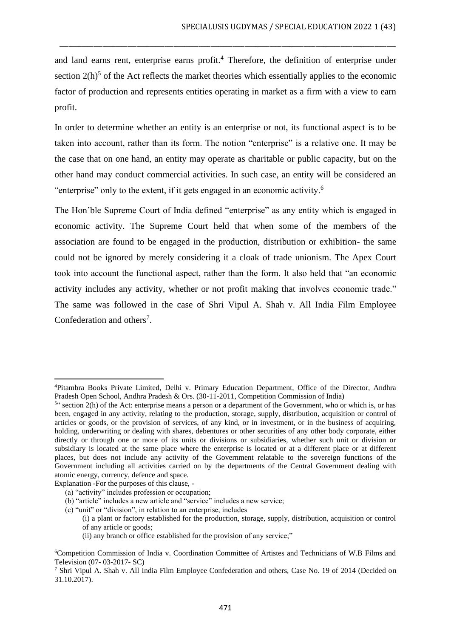and land earns rent, enterprise earns profit.<sup>4</sup> Therefore, the definition of enterprise under section  $2(h)^5$  of the Act reflects the market theories which essentially applies to the economic factor of production and represents entities operating in market as a firm with a view to earn profit.

\_\_\_\_\_\_\_\_\_\_\_\_\_\_\_\_\_\_\_\_\_\_\_\_\_\_\_\_\_\_\_\_\_\_\_\_\_\_\_\_\_\_\_\_\_\_\_\_\_\_\_\_\_\_\_\_\_\_\_\_\_\_\_\_\_\_\_\_\_\_\_\_\_\_\_\_\_\_\_\_\_\_\_\_\_\_\_\_\_\_\_\_\_\_\_\_\_\_\_\_\_\_\_\_\_\_\_\_\_

In order to determine whether an entity is an enterprise or not, its functional aspect is to be taken into account, rather than its form. The notion "enterprise" is a relative one. It may be the case that on one hand, an entity may operate as charitable or public capacity, but on the other hand may conduct commercial activities. In such case, an entity will be considered an "enterprise" only to the extent, if it gets engaged in an economic activity.<sup>6</sup>

The Hon'ble Supreme Court of India defined "enterprise" as any entity which is engaged in economic activity. The Supreme Court held that when some of the members of the association are found to be engaged in the production, distribution or exhibition- the same could not be ignored by merely considering it a cloak of trade unionism. The Apex Court took into account the functional aspect, rather than the form. It also held that "an economic activity includes any activity, whether or not profit making that involves economic trade." The same was followed in the case of Shri Vipul A. Shah v. All India Film Employee Confederation and others<sup>7</sup>.

Explanation -For the purposes of this clause, -

(ii) any branch or office established for the provision of any service;"

<sup>4</sup>Pitambra Books Private Limited, Delhi v. Primary Education Department, Office of the Director, Andhra Pradesh Open School, Andhra Pradesh & Ors. (30-11-2011, Competition Commission of India)

<sup>&</sup>lt;sup>5</sup>" section 2(h) of the Act: enterprise means a person or a department of the Government, who or which is, or has been, engaged in any activity, relating to the production, storage, supply, distribution, acquisition or control of articles or goods, or the provision of services, of any kind, or in investment, or in the business of acquiring, holding, underwriting or dealing with shares, debentures or other securities of any other body corporate, either directly or through one or more of its units or divisions or subsidiaries, whether such unit or division or subsidiary is located at the same place where the enterprise is located or at a different place or at different places, but does not include any activity of the Government relatable to the sovereign functions of the Government including all activities carried on by the departments of the Central Government dealing with atomic energy, currency, defence and space.

<sup>(</sup>a) "activity" includes profession or occupation;

<sup>(</sup>b) "article" includes a new article and "service" includes a new service;

<sup>(</sup>c) "unit" or "division", in relation to an enterprise, includes

<sup>(</sup>i) a plant or factory established for the production, storage, supply, distribution, acquisition or control of any article or goods;

<sup>6</sup>Competition Commission of India v. Coordination Committee of Artistes and Technicians of W.B Films and Television (07- 03-2017- SC)

<sup>&</sup>lt;sup>7</sup> Shri Vipul A. Shah v. All India Film Employee Confederation and others, Case No. 19 of 2014 (Decided on 31.10.2017).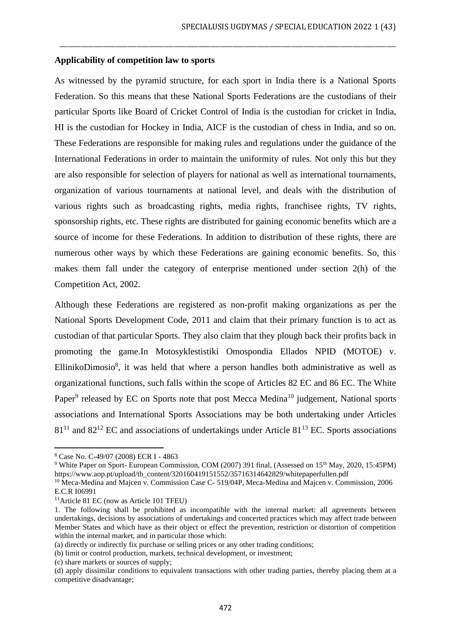#### **Applicability of competition law to sports**

As witnessed by the pyramid structure, for each sport in India there is a National Sports Federation. So this means that these National Sports Federations are the custodians of their particular Sports like Board of Cricket Control of India is the custodian for cricket in India, HI is the custodian for Hockey in India, AICF is the custodian of chess in India, and so on. These Federations are responsible for making rules and regulations under the guidance of the International Federations in order to maintain the uniformity of rules. Not only this but they are also responsible for selection of players for national as well as international tournaments, organization of various tournaments at national level, and deals with the distribution of various rights such as broadcasting rights, media rights, franchisee rights, TV rights, sponsorship rights, etc. These rights are distributed for gaining economic benefits which are a source of income for these Federations. In addition to distribution of these rights, there are numerous other ways by which these Federations are gaining economic benefits. So, this makes them fall under the category of enterprise mentioned under section 2(h) of the Competition Act, 2002.

\_\_\_\_\_\_\_\_\_\_\_\_\_\_\_\_\_\_\_\_\_\_\_\_\_\_\_\_\_\_\_\_\_\_\_\_\_\_\_\_\_\_\_\_\_\_\_\_\_\_\_\_\_\_\_\_\_\_\_\_\_\_\_\_\_\_\_\_\_\_\_\_\_\_\_\_\_\_\_\_\_\_\_\_\_\_\_\_\_\_\_\_\_\_\_\_\_\_\_\_\_\_\_\_\_\_\_\_\_

Although these Federations are registered as non-profit making organizations as per the National Sports Development Code, 2011 and claim that their primary function is to act as custodian of that particular Sports. They also claim that they plough back their profits back in promoting the game.In Motosyklestistiki Omospondia Ellados NPID (MOTOE) v. EllinikoDimosio<sup>8</sup>, it was held that where a person handles both administrative as well as organizational functions, such falls within the scope of Articles 82 EC and 86 EC. The White Paper<sup>9</sup> released by EC on Sports note that post Mecca Medina<sup>10</sup> judgement, National sports associations and International Sports Associations may be both undertaking under Articles  $81<sup>11</sup>$  and  $82<sup>12</sup>$  EC and associations of undertakings under Article  $81<sup>13</sup>$  EC. Sports associations

<sup>8</sup> Case No. C-49/07 (2008) ECR I - 4863

<sup>&</sup>lt;sup>9</sup> White Paper on Sport- European Commission, COM (2007) 391 final, (Assessed on 15<sup>th</sup> May, 2020, 15:45PM) [https://www.aop.pt/upload/tb\\_content/320160419151552/35716314642829/whitepaperfullen.pdf](https://www.aop.pt/upload/tb_content/320160419151552/35716314642829/whitepaperfullen.pdf)

<sup>&</sup>lt;sup>10</sup> Meca-Medina and Majcen v. Commission Case C- 519/04P, Meca-Medina and Majcen v. Commission, 2006 E.C.R I06991

<sup>&</sup>lt;sup>11</sup>Article 81 EC (now as Article 101 TFEU)

<sup>1.</sup> The following shall be prohibited as incompatible with the internal market: all agreements between undertakings, decisions by associations of undertakings and concerted practices which may affect trade between Member States and which have as their object or effect the prevention, restriction or distortion of competition within the internal market, and in particular those which:

<sup>(</sup>a) directly or indirectly fix purchase or selling prices or any other trading conditions;

<sup>(</sup>b) limit or control production, markets, technical development, or investment;

<sup>(</sup>c) share markets or sources of supply;

<sup>(</sup>d) apply dissimilar conditions to equivalent transactions with other trading parties, thereby placing them at a competitive disadvantage;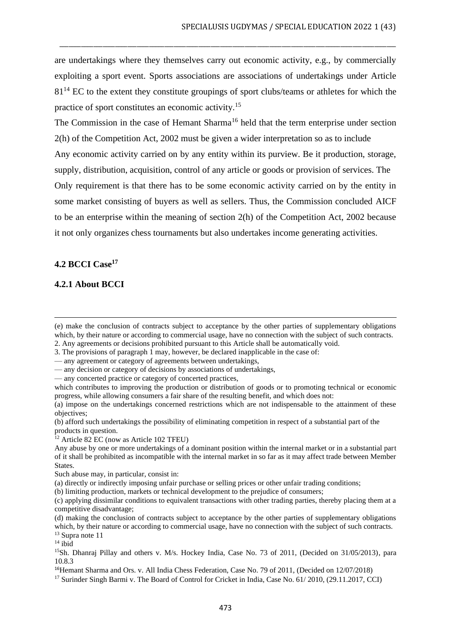are undertakings where they themselves carry out economic activity, e.g., by commercially exploiting a sport event. Sports associations are associations of undertakings under Article 81<sup>14</sup> EC to the extent they constitute groupings of sport clubs/teams or athletes for which the practice of sport constitutes an economic activity.<sup>15</sup>

\_\_\_\_\_\_\_\_\_\_\_\_\_\_\_\_\_\_\_\_\_\_\_\_\_\_\_\_\_\_\_\_\_\_\_\_\_\_\_\_\_\_\_\_\_\_\_\_\_\_\_\_\_\_\_\_\_\_\_\_\_\_\_\_\_\_\_\_\_\_\_\_\_\_\_\_\_\_\_\_\_\_\_\_\_\_\_\_\_\_\_\_\_\_\_\_\_\_\_\_\_\_\_\_\_\_\_\_\_

The Commission in the case of Hemant Sharma<sup>16</sup> held that the term enterprise under section 2(h) of the Competition Act, 2002 must be given a wider interpretation so as to include Any economic activity carried on by any entity within its purview. Be it production, storage, supply, distribution, acquisition, control of any article or goods or provision of services. The Only requirement is that there has to be some economic activity carried on by the entity in some market consisting of buyers as well as sellers. Thus, the Commission concluded AICF to be an enterprise within the meaning of section 2(h) of the Competition Act, 2002 because it not only organizes chess tournaments but also undertakes income generating activities.

## **4.2 BCCI Case<sup>17</sup>**

## **4.2.1 About BCCI**

<sup>12</sup> Article 82 EC (now as Article 102 TFEU)

<sup>(</sup>e) make the conclusion of contracts subject to acceptance by the other parties of supplementary obligations which, by their nature or according to commercial usage, have no connection with the subject of such contracts.

<sup>2.</sup> Any agreements or decisions prohibited pursuant to this Article shall be automatically void. 3. The provisions of paragraph 1 may, however, be declared inapplicable in the case of:

<sup>—</sup> any agreement or category of agreements between undertakings,

<sup>—</sup> any decision or category of decisions by associations of undertakings,

<sup>—</sup> any concerted practice or category of concerted practices,

which contributes to improving the production or distribution of goods or to promoting technical or economic progress, while allowing consumers a fair share of the resulting benefit, and which does not:

<sup>(</sup>a) impose on the undertakings concerned restrictions which are not indispensable to the attainment of these objectives;

<sup>(</sup>b) afford such undertakings the possibility of eliminating competition in respect of a substantial part of the products in question.

Any abuse by one or more undertakings of a dominant position within the internal market or in a substantial part of it shall be prohibited as incompatible with the internal market in so far as it may affect trade between Member States.

Such abuse may, in particular, consist in:

<sup>(</sup>a) directly or indirectly imposing unfair purchase or selling prices or other unfair trading conditions;

<sup>(</sup>b) limiting production, markets or technical development to the prejudice of consumers;

<sup>(</sup>c) applying dissimilar conditions to equivalent transactions with other trading parties, thereby placing them at a competitive disadvantage;

<sup>(</sup>d) making the conclusion of contracts subject to acceptance by the other parties of supplementary obligations which, by their nature or according to commercial usage, have no connection with the subject of such contracts.

<sup>&</sup>lt;sup>13</sup> Supra note 11  $^{14}$ ibid

<sup>&</sup>lt;sup>15</sup>Sh. Dhanraj Pillay and others v. M/s. Hockey India, Case No. 73 of 2011, (Decided on 31/05/2013), para 10.8.3

<sup>&</sup>lt;sup>16</sup>Hemant Sharma and Ors. v. All India Chess Federation, Case No. 79 of 2011, (Decided on 12/07/2018)

<sup>&</sup>lt;sup>17</sup> Surinder Singh Barmi v. The Board of Control for Cricket in India, Case No. 61/2010, (29.11.2017, CCI)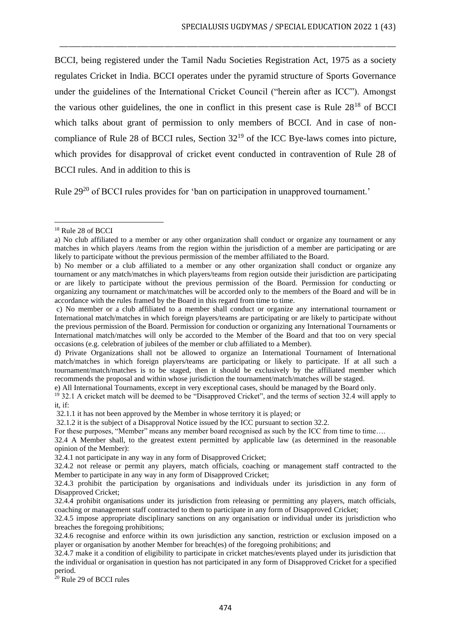BCCI, being registered under the Tamil Nadu Societies Registration Act, 1975 as a society regulates Cricket in India. BCCI operates under the pyramid structure of Sports Governance under the guidelines of the International Cricket Council ("herein after as ICC"). Amongst the various other guidelines, the one in conflict in this present case is Rule  $28^{18}$  of BCCI which talks about grant of permission to only members of BCCI. And in case of noncompliance of Rule 28 of BCCI rules, Section  $32^{19}$  of the ICC Bye-laws comes into picture, which provides for disapproval of cricket event conducted in contravention of Rule 28 of BCCI rules. And in addition to this is

\_\_\_\_\_\_\_\_\_\_\_\_\_\_\_\_\_\_\_\_\_\_\_\_\_\_\_\_\_\_\_\_\_\_\_\_\_\_\_\_\_\_\_\_\_\_\_\_\_\_\_\_\_\_\_\_\_\_\_\_\_\_\_\_\_\_\_\_\_\_\_\_\_\_\_\_\_\_\_\_\_\_\_\_\_\_\_\_\_\_\_\_\_\_\_\_\_\_\_\_\_\_\_\_\_\_\_\_\_

Rule 29<sup>20</sup> of BCCI rules provides for 'ban on participation in unapproved tournament.'

32.1.2 it is the subject of a Disapproval Notice issued by the ICC pursuant to section 32.2.

<sup>&</sup>lt;sup>18</sup> Rule 28 of BCCI

a) No club affiliated to a member or any other organization shall conduct or organize any tournament or any matches in which players /teams from the region within the jurisdiction of a member are participating or are likely to participate without the previous permission of the member affiliated to the Board.

b) No member or a club affiliated to a member or any other organization shall conduct or organize any tournament or any match/matches in which players/teams from region outside their jurisdiction are participating or are likely to participate without the previous permission of the Board. Permission for conducting or organizing any tournament or match/matches will be accorded only to the members of the Board and will be in accordance with the rules framed by the Board in this regard from time to time.

c) No member or a club affiliated to a member shall conduct or organize any international tournament or International match/matches in which foreign players/teams are participating or are likely to participate without the previous permission of the Board. Permission for conduction or organizing any International Tournaments or International match/matches will only be accorded to the Member of the Board and that too on very special occasions (e.g. celebration of jubilees of the member or club affiliated to a Member).

d) Private Organizations shall not be allowed to organize an International Tournament of International match/matches in which foreign players/teams are participating or likely to participate. If at all such a tournament/match/matches is to be staged, then it should be exclusively by the affiliated member which recommends the proposal and within whose jurisdiction the tournament/match/matches will be staged.

e) All International Tournaments, except in very exceptional cases, should be managed by the Board only.

<sup>&</sup>lt;sup>19</sup> 32.1 A cricket match will be deemed to be "Disapproved Cricket", and the terms of section 32.4 will apply to it, if:

<sup>32.1.1</sup> it has not been approved by the Member in whose territory it is played; or

For these purposes, "Member" means any member board recognised as such by the ICC from time to time....

<sup>32.4</sup> A Member shall, to the greatest extent permitted by applicable law (as determined in the reasonable opinion of the Member):

<sup>32.4.1</sup> not participate in any way in any form of Disapproved Cricket;

<sup>32.4.2</sup> not release or permit any players, match officials, coaching or management staff contracted to the Member to participate in any way in any form of Disapproved Cricket;

<sup>32.4.3</sup> prohibit the participation by organisations and individuals under its jurisdiction in any form of Disapproved Cricket;

<sup>32.4.4</sup> prohibit organisations under its jurisdiction from releasing or permitting any players, match officials, coaching or management staff contracted to them to participate in any form of Disapproved Cricket;

<sup>32.4.5</sup> impose appropriate disciplinary sanctions on any organisation or individual under its jurisdiction who breaches the foregoing prohibitions;

<sup>32.4.6</sup> recognise and enforce within its own jurisdiction any sanction, restriction or exclusion imposed on a player or organisation by another Member for breach(es) of the foregoing prohibitions; and

<sup>32.4.7</sup> make it a condition of eligibility to participate in cricket matches/events played under its jurisdiction that the individual or organisation in question has not participated in any form of Disapproved Cricket for a specified period.

<sup>&</sup>lt;sup>20</sup> Rule 29 of BCCI rules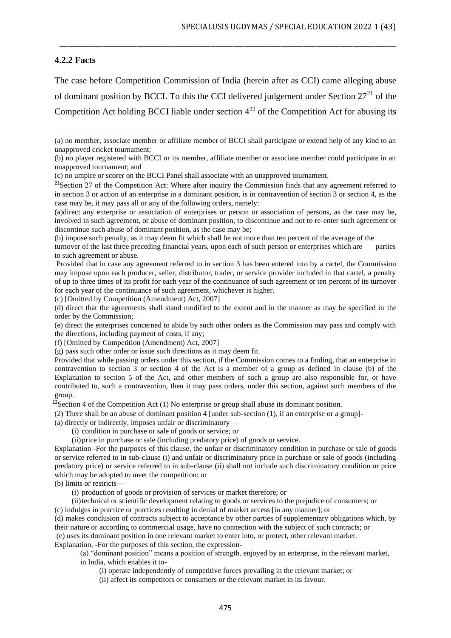## **4.2.2 Facts**

The case before Competition Commission of India (herein after as CCI) came alleging abuse of dominant position by BCCI. To this the CCI delivered judgement under Section  $27<sup>21</sup>$  of the Competition Act holding BCCI liable under section  $4^{22}$  of the Competition Act for abusing its

\_\_\_\_\_\_\_\_\_\_\_\_\_\_\_\_\_\_\_\_\_\_\_\_\_\_\_\_\_\_\_\_\_\_\_\_\_\_\_\_\_\_\_\_\_\_\_\_\_\_\_\_\_\_\_\_\_\_\_\_\_\_\_\_\_\_\_\_\_\_\_\_\_\_\_\_\_\_\_\_\_\_\_\_\_\_\_\_\_\_\_\_\_\_\_\_\_\_\_\_\_\_\_\_\_\_\_\_\_

(b) impose such penalty, as it may deem fit which shall be not more than ten percent of the average of the

turnover of the last three preceding financial years, upon each of such person or enterprises which are parties to such agreement or abuse.

Provided that in case any agreement referred to in section 3 has been entered into by a cartel, the Commission may impose upon each producer, seller, distributor, trader, or service provider included in that cartel, a penalty of up to three times of its profit for each year of the continuance of such agreement or ten percent of its turnover for each year of the continuance of such agreement, whichever is higher.

(c) [Omitted by Competition (Amendment) Act, 2007]

(d) direct that the agreements shall stand modified to the extent and in the manner as may be specified in the order by the Commission;

(e) direct the enterprises concerned to abide by such other orders as the Commission may pass and comply with the directions, including payment of costs, if any;

(f) [Omitted by Competition (Amendment) Act, 2007]

(g) pass such other order or issue such directions as it may deem fit.

Provided that while passing orders under this section, if the Commission comes to a finding, that an enterprise in contravention to section 3 or section 4 of the Act is a member of a group as defined in clause (b) of the Explanation to section 5 of the Act, and other members of such a group are also responsible for, or have contributed to, such a contravention, then it may pass orders, under this section, against such members of the group.

 $22$ Section 4 of the Competition Act (1) No enterprise or group shall abuse its dominant position.

(2) There shall be an abuse of dominant position 4 [under sub-section (1), if an enterprise or a group]-

(a) directly or indirectly, imposes unfair or discriminatory—

(i) condition in purchase or sale of goods or service; or

(ii)price in purchase or sale (including predatory price) of goods or service.

Explanation -For the purposes of this clause, the unfair or discriminatory condition in purchase or sale of goods or service referred to in sub-clause (i) and unfair or discriminatory price in purchase or sale of goods (including predatory price) or service referred to in sub-clause (ii) shall not include such discriminatory condition or price which may be adopted to meet the competition; or

(b) limits or restricts—

(i) production of goods or provision of services or market therefore; or

(ii)technical or scientific development relating to goods or services to the prejudice of consumers; or

(c) indulges in practice or practices resulting in denial of market access [in any manner]; or

(d) makes conclusion of contracts subject to acceptance by other parties of supplementary obligations which, by their nature or according to commercial usage, have no connection with the subject of such contracts; or

(e) uses its dominant position in one relevant market to enter into, or protect, other relevant market. Explanation, -For the purposes of this section, the expression-

(a) "dominant position" means a position of strength, enjoyed by an enterprise, in the relevant market, in India, which enables it to-

(i) operate independently of competitive forces prevailing in the relevant market; or

(ii) affect its competitors or consumers or the relevant market in its favour.

<sup>(</sup>a) no member, associate member or affiliate member of BCCI shall participate or extend help of any kind to an unapproved cricket tournament;

<sup>(</sup>b) no player registered with BCCI or its member, affiliate member or associate member could participate in an unapproved tournament; and

<sup>(</sup>c) no umpire or scorer on the BCCI Panel shall associate with an unapproved tournament.

<sup>&</sup>lt;sup>21</sup>Section 27 of the Competition Act: Where after inquiry the Commission finds that any agreement referred to in section 3 or action of an enterprise in a dominant position, is in contravention of section 3 or section 4, as the case may be, it may pass all or any of the following orders, namely:

<sup>(</sup>a)direct any enterprise or association of enterprises or person or association of persons, as the case may be, involved in such agreement, or abuse of dominant position, to discontinue and not to re-enter such agreement or discontinue such abuse of dominant position, as the case may be;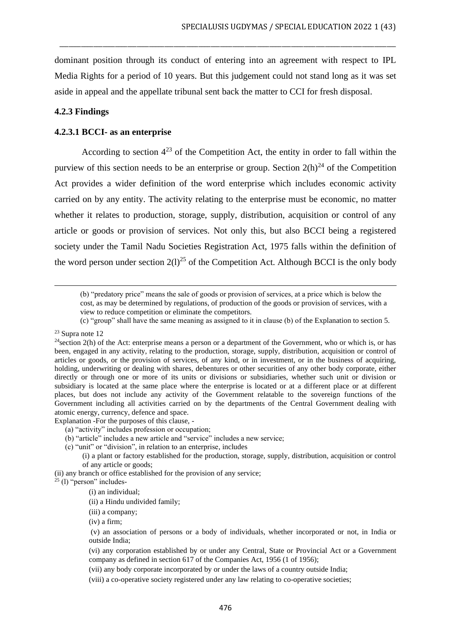dominant position through its conduct of entering into an agreement with respect to IPL Media Rights for a period of 10 years. But this judgement could not stand long as it was set aside in appeal and the appellate tribunal sent back the matter to CCI for fresh disposal.

\_\_\_\_\_\_\_\_\_\_\_\_\_\_\_\_\_\_\_\_\_\_\_\_\_\_\_\_\_\_\_\_\_\_\_\_\_\_\_\_\_\_\_\_\_\_\_\_\_\_\_\_\_\_\_\_\_\_\_\_\_\_\_\_\_\_\_\_\_\_\_\_\_\_\_\_\_\_\_\_\_\_\_\_\_\_\_\_\_\_\_\_\_\_\_\_\_\_\_\_\_\_\_\_\_\_\_\_\_

## **4.2.3 Findings**

### **4.2.3.1 BCCI- as an enterprise**

According to section  $4^{23}$  of the Competition Act, the entity in order to fall within the purview of this section needs to be an enterprise or group. Section  $2(h)^{24}$  of the Competition Act provides a wider definition of the word enterprise which includes economic activity carried on by any entity. The activity relating to the enterprise must be economic, no matter whether it relates to production, storage, supply, distribution, acquisition or control of any article or goods or provision of services. Not only this, but also BCCI being a registered society under the Tamil Nadu Societies Registration Act, 1975 falls within the definition of the word person under section  $2(1)^{25}$  of the Competition Act. Although BCCI is the only body

(b) "predatory price" means the sale of goods or provision of services, at a price which is below the cost, as may be determined by regulations, of production of the goods or provision of services, with a view to reduce competition or eliminate the competitors.

Explanation -For the purposes of this clause, -

- (b) "article" includes a new article and "service" includes a new service;
- (c) "unit" or "division", in relation to an enterprise, includes

(vi) any corporation established by or under any Central, State or Provincial Act or a Government company as defined in section 617 of the Companies Act, 1956 (1 of 1956);

(vii) any body corporate incorporated by or under the laws of a country outside India;

(viii) a co-operative society registered under any law relating to co-operative societies;

<sup>(</sup>c) "group" shall have the same meaning as assigned to it in clause (b) of the Explanation to section 5.

<sup>23</sup> Supra note 12

<sup>&</sup>lt;sup>24</sup>section 2(h) of the Act: enterprise means a person or a department of the Government, who or which is, or has been, engaged in any activity, relating to the production, storage, supply, distribution, acquisition or control of articles or goods, or the provision of services, of any kind, or in investment, or in the business of acquiring, holding, underwriting or dealing with shares, debentures or other securities of any other body corporate, either directly or through one or more of its units or divisions or subsidiaries, whether such unit or division or subsidiary is located at the same place where the enterprise is located or at a different place or at different places, but does not include any activity of the Government relatable to the sovereign functions of the Government including all activities carried on by the departments of the Central Government dealing with atomic energy, currency, defence and space.

<sup>(</sup>a) "activity" includes profession or occupation;

<sup>(</sup>i) a plant or factory established for the production, storage, supply, distribution, acquisition or control of any article or goods;

<sup>(</sup>ii) any branch or office established for the provision of any service;

 $25$  (1) "person" includes-

<sup>(</sup>i) an individual;

<sup>(</sup>ii) a Hindu undivided family;

<sup>(</sup>iii) a company;

<sup>(</sup>iv) a firm;

<sup>(</sup>v) an association of persons or a body of individuals, whether incorporated or not, in India or outside India;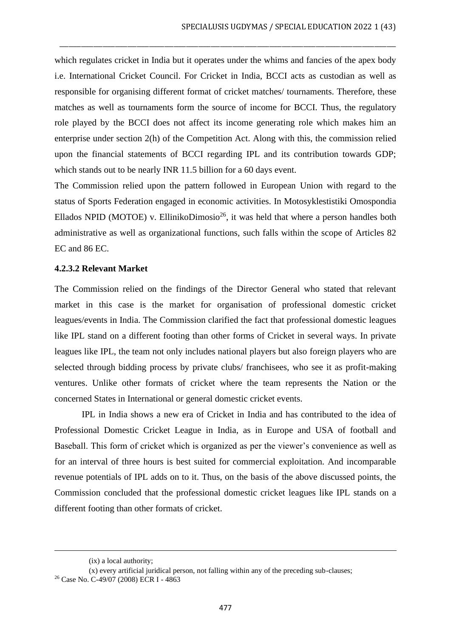which regulates cricket in India but it operates under the whims and fancies of the apex body i.e. International Cricket Council. For Cricket in India, BCCI acts as custodian as well as responsible for organising different format of cricket matches/ tournaments. Therefore, these matches as well as tournaments form the source of income for BCCI. Thus, the regulatory role played by the BCCI does not affect its income generating role which makes him an enterprise under section 2(h) of the Competition Act. Along with this, the commission relied upon the financial statements of BCCI regarding IPL and its contribution towards GDP; which stands out to be nearly INR 11.5 billion for a 60 days event.

\_\_\_\_\_\_\_\_\_\_\_\_\_\_\_\_\_\_\_\_\_\_\_\_\_\_\_\_\_\_\_\_\_\_\_\_\_\_\_\_\_\_\_\_\_\_\_\_\_\_\_\_\_\_\_\_\_\_\_\_\_\_\_\_\_\_\_\_\_\_\_\_\_\_\_\_\_\_\_\_\_\_\_\_\_\_\_\_\_\_\_\_\_\_\_\_\_\_\_\_\_\_\_\_\_\_\_\_\_

The Commission relied upon the pattern followed in European Union with regard to the status of Sports Federation engaged in economic activities. In Motosyklestistiki Omospondia Ellados NPID (MOTOE) v. EllinikoDimosio<sup>26</sup>, it was held that where a person handles both administrative as well as organizational functions, such falls within the scope of Articles 82 EC and 86 EC.

### **4.2.3.2 Relevant Market**

The Commission relied on the findings of the Director General who stated that relevant market in this case is the market for organisation of professional domestic cricket leagues/events in India. The Commission clarified the fact that professional domestic leagues like IPL stand on a different footing than other forms of Cricket in several ways. In private leagues like IPL, the team not only includes national players but also foreign players who are selected through bidding process by private clubs/ franchisees, who see it as profit-making ventures. Unlike other formats of cricket where the team represents the Nation or the concerned States in International or general domestic cricket events.

IPL in India shows a new era of Cricket in India and has contributed to the idea of Professional Domestic Cricket League in India, as in Europe and USA of football and Baseball. This form of cricket which is organized as per the viewer's convenience as well as for an interval of three hours is best suited for commercial exploitation. And incomparable revenue potentials of IPL adds on to it. Thus, on the basis of the above discussed points, the Commission concluded that the professional domestic cricket leagues like IPL stands on a different footing than other formats of cricket.

<sup>(</sup>ix) a local authority;

<sup>(</sup>x) every artificial juridical person, not falling within any of the preceding sub-clauses; <sup>26</sup> Case No. C-49/07 (2008) ECR I - 4863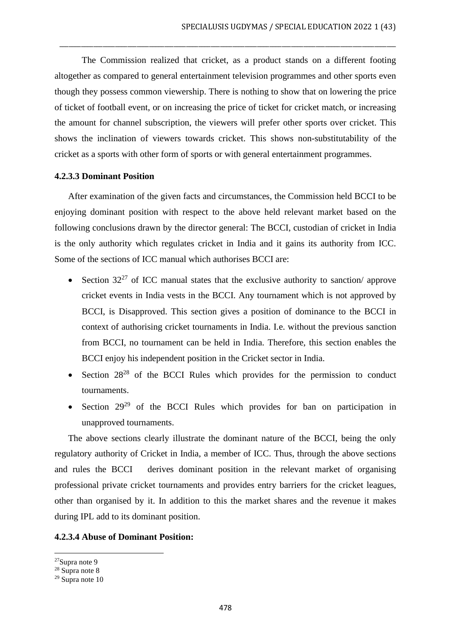The Commission realized that cricket, as a product stands on a different footing altogether as compared to general entertainment television programmes and other sports even though they possess common viewership. There is nothing to show that on lowering the price of ticket of football event, or on increasing the price of ticket for cricket match, or increasing the amount for channel subscription, the viewers will prefer other sports over cricket. This shows the inclination of viewers towards cricket. This shows non-substitutability of the cricket as a sports with other form of sports or with general entertainment programmes.

\_\_\_\_\_\_\_\_\_\_\_\_\_\_\_\_\_\_\_\_\_\_\_\_\_\_\_\_\_\_\_\_\_\_\_\_\_\_\_\_\_\_\_\_\_\_\_\_\_\_\_\_\_\_\_\_\_\_\_\_\_\_\_\_\_\_\_\_\_\_\_\_\_\_\_\_\_\_\_\_\_\_\_\_\_\_\_\_\_\_\_\_\_\_\_\_\_\_\_\_\_\_\_\_\_\_\_\_\_

## **4.2.3.3 Dominant Position**

After examination of the given facts and circumstances, the Commission held BCCI to be enjoying dominant position with respect to the above held relevant market based on the following conclusions drawn by the director general: The BCCI, custodian of cricket in India is the only authority which regulates cricket in India and it gains its authority from ICC. Some of the sections of ICC manual which authorises BCCI are:

- Section  $32^{27}$  of ICC manual states that the exclusive authority to sanction/ approve cricket events in India vests in the BCCI. Any tournament which is not approved by BCCI, is Disapproved. This section gives a position of dominance to the BCCI in context of authorising cricket tournaments in India. I.e. without the previous sanction from BCCI, no tournament can be held in India. Therefore, this section enables the BCCI enjoy his independent position in the Cricket sector in India.
- Section  $28^{28}$  of the BCCI Rules which provides for the permission to conduct tournaments.
- Section  $29^{29}$  of the BCCI Rules which provides for ban on participation in unapproved tournaments.

The above sections clearly illustrate the dominant nature of the BCCI, being the only regulatory authority of Cricket in India, a member of ICC. Thus, through the above sections and rules the BCCI derives dominant position in the relevant market of organising professional private cricket tournaments and provides entry barriers for the cricket leagues, other than organised by it. In addition to this the market shares and the revenue it makes during IPL add to its dominant position.

## **4.2.3.4 Abuse of Dominant Position:**

<sup>27</sup>Supra note 9

 $28$  Supra note 8

 $29$  Supra note 10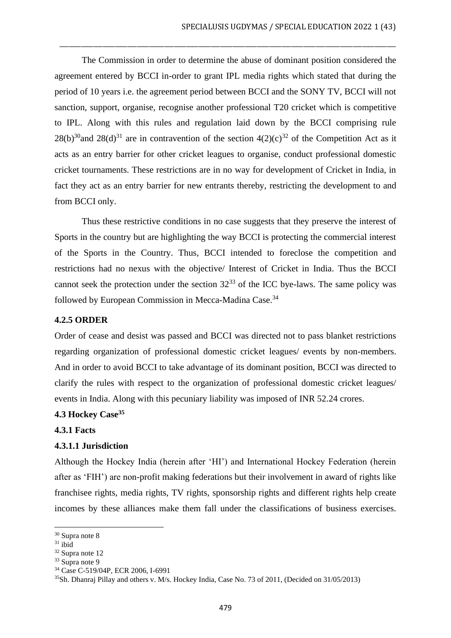The Commission in order to determine the abuse of dominant position considered the agreement entered by BCCI in-order to grant IPL media rights which stated that during the period of 10 years i.e. the agreement period between BCCI and the SONY TV, BCCI will not sanction, support, organise, recognise another professional T20 cricket which is competitive to IPL. Along with this rules and regulation laid down by the BCCI comprising rule 28(b)<sup>30</sup> and 28(d)<sup>31</sup> are in contravention of the section  $4(2)(c)^{32}$  of the Competition Act as it acts as an entry barrier for other cricket leagues to organise, conduct professional domestic cricket tournaments. These restrictions are in no way for development of Cricket in India, in fact they act as an entry barrier for new entrants thereby, restricting the development to and from BCCI only.

\_\_\_\_\_\_\_\_\_\_\_\_\_\_\_\_\_\_\_\_\_\_\_\_\_\_\_\_\_\_\_\_\_\_\_\_\_\_\_\_\_\_\_\_\_\_\_\_\_\_\_\_\_\_\_\_\_\_\_\_\_\_\_\_\_\_\_\_\_\_\_\_\_\_\_\_\_\_\_\_\_\_\_\_\_\_\_\_\_\_\_\_\_\_\_\_\_\_\_\_\_\_\_\_\_\_\_\_\_

Thus these restrictive conditions in no case suggests that they preserve the interest of Sports in the country but are highlighting the way BCCI is protecting the commercial interest of the Sports in the Country. Thus, BCCI intended to foreclose the competition and restrictions had no nexus with the objective/ Interest of Cricket in India. Thus the BCCI cannot seek the protection under the section  $32^{33}$  of the ICC bye-laws. The same policy was followed by European Commission in Mecca-Madina Case.<sup>34</sup>

## **4.2.5 ORDER**

Order of cease and desist was passed and BCCI was directed not to pass blanket restrictions regarding organization of professional domestic cricket leagues/ events by non-members. And in order to avoid BCCI to take advantage of its dominant position, BCCI was directed to clarify the rules with respect to the organization of professional domestic cricket leagues/ events in India. Along with this pecuniary liability was imposed of INR 52.24 crores.

## **4.3 Hockey Case<sup>35</sup>**

### **4.3.1 Facts**

### **4.3.1.1 Jurisdiction**

Although the Hockey India (herein after 'HI') and International Hockey Federation (herein after as 'FIH') are non-profit making federations but their involvement in award of rights like franchisee rights, media rights, TV rights, sponsorship rights and different rights help create incomes by these alliances make them fall under the classifications of business exercises.

<sup>30</sup> Supra note 8

 $31$  ibid

<sup>32</sup> Supra note 12

<sup>&</sup>lt;sup>33</sup> Supra note 9

<sup>34</sup> Case C-519/04P, ECR 2006, I-6991

<sup>35</sup>Sh. Dhanraj Pillay and others v. M/s. Hockey India, Case No. 73 of 2011, (Decided on 31/05/2013)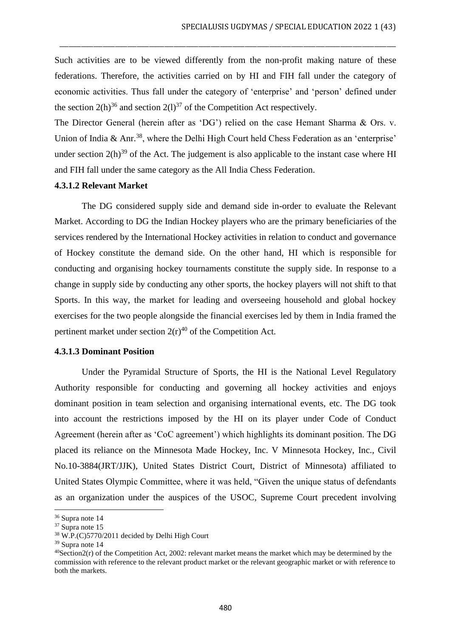Such activities are to be viewed differently from the non-profit making nature of these federations. Therefore, the activities carried on by HI and FIH fall under the category of economic activities. Thus fall under the category of 'enterprise' and 'person' defined under the section  $2(h)^{36}$  and section  $2(l)^{37}$  of the Competition Act respectively.

\_\_\_\_\_\_\_\_\_\_\_\_\_\_\_\_\_\_\_\_\_\_\_\_\_\_\_\_\_\_\_\_\_\_\_\_\_\_\_\_\_\_\_\_\_\_\_\_\_\_\_\_\_\_\_\_\_\_\_\_\_\_\_\_\_\_\_\_\_\_\_\_\_\_\_\_\_\_\_\_\_\_\_\_\_\_\_\_\_\_\_\_\_\_\_\_\_\_\_\_\_\_\_\_\_\_\_\_\_

The Director General (herein after as 'DG') relied on the case Hemant Sharma & Ors. v. Union of India  $\&$  Anr.<sup>38</sup>, where the Delhi High Court held Chess Federation as an 'enterprise' under section  $2(h)^{39}$  of the Act. The judgement is also applicable to the instant case where HI and FIH fall under the same category as the All India Chess Federation.

## **4.3.1.2 Relevant Market**

The DG considered supply side and demand side in-order to evaluate the Relevant Market. According to DG the Indian Hockey players who are the primary beneficiaries of the services rendered by the International Hockey activities in relation to conduct and governance of Hockey constitute the demand side. On the other hand, HI which is responsible for conducting and organising hockey tournaments constitute the supply side. In response to a change in supply side by conducting any other sports, the hockey players will not shift to that Sports. In this way, the market for leading and overseeing household and global hockey exercises for the two people alongside the financial exercises led by them in India framed the pertinent market under section  $2(r)^{40}$  of the Competition Act.

### **4.3.1.3 Dominant Position**

Under the Pyramidal Structure of Sports, the HI is the National Level Regulatory Authority responsible for conducting and governing all hockey activities and enjoys dominant position in team selection and organising international events, etc. The DG took into account the restrictions imposed by the HI on its player under Code of Conduct Agreement (herein after as 'CoC agreement') which highlights its dominant position. The DG placed its reliance on the Minnesota Made Hockey, Inc. V Minnesota Hockey, Inc., Civil No.10-3884(JRT/JJK), United States District Court, District of Minnesota) affiliated to United States Olympic Committee, where it was held, "Given the unique status of defendants as an organization under the auspices of the USOC, Supreme Court precedent involving

<sup>36</sup> Supra note 14

<sup>37</sup> Supra note 15

<sup>38</sup> W.P.(C)5770/2011 decided by Delhi High Court

 $39$  Supra note 14

 $^{40}$ Section2(r) of the Competition Act, 2002: relevant market means the market which may be determined by the commission with reference to the relevant product market or the relevant geographic market or with reference to both the markets.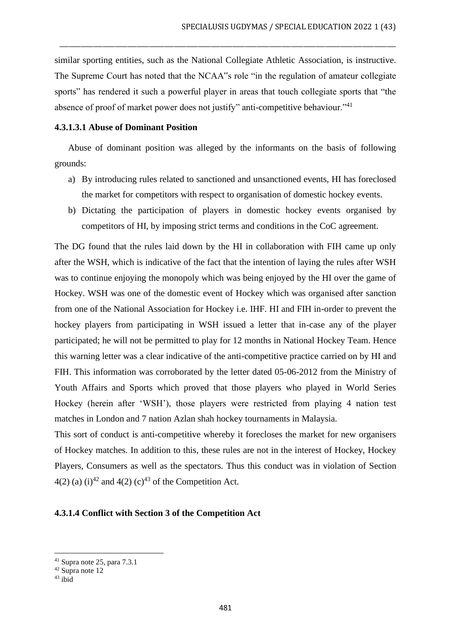similar sporting entities, such as the National Collegiate Athletic Association, is instructive. The Supreme Court has noted that the NCAA"s role "in the regulation of amateur collegiate sports" has rendered it such a powerful player in areas that touch collegiate sports that "the absence of proof of market power does not justify" anti-competitive behaviour."<sup>41</sup>

\_\_\_\_\_\_\_\_\_\_\_\_\_\_\_\_\_\_\_\_\_\_\_\_\_\_\_\_\_\_\_\_\_\_\_\_\_\_\_\_\_\_\_\_\_\_\_\_\_\_\_\_\_\_\_\_\_\_\_\_\_\_\_\_\_\_\_\_\_\_\_\_\_\_\_\_\_\_\_\_\_\_\_\_\_\_\_\_\_\_\_\_\_\_\_\_\_\_\_\_\_\_\_\_\_\_\_\_\_

### **4.3.1.3.1 Abuse of Dominant Position**

Abuse of dominant position was alleged by the informants on the basis of following grounds:

- a) By introducing rules related to sanctioned and unsanctioned events, HI has foreclosed the market for competitors with respect to organisation of domestic hockey events.
- b) Dictating the participation of players in domestic hockey events organised by competitors of HI, by imposing strict terms and conditions in the CoC agreement.

The DG found that the rules laid down by the HI in collaboration with FIH came up only after the WSH, which is indicative of the fact that the intention of laying the rules after WSH was to continue enjoying the monopoly which was being enjoyed by the HI over the game of Hockey. WSH was one of the domestic event of Hockey which was organised after sanction from one of the National Association for Hockey i.e. IHF. HI and FIH in-order to prevent the hockey players from participating in WSH issued a letter that in-case any of the player participated; he will not be permitted to play for 12 months in National Hockey Team. Hence this warning letter was a clear indicative of the anti-competitive practice carried on by HI and FIH. This information was corroborated by the letter dated 05-06-2012 from the Ministry of Youth Affairs and Sports which proved that those players who played in World Series Hockey (herein after 'WSH'), those players were restricted from playing 4 nation test matches in London and 7 nation Azlan shah hockey tournaments in Malaysia.

This sort of conduct is anti-competitive whereby it forecloses the market for new organisers of Hockey matches. In addition to this, these rules are not in the interest of Hockey, Hockey Players, Consumers as well as the spectators. Thus this conduct was in violation of Section 4(2) (a) (i)<sup>42</sup> and 4(2) (c)<sup>43</sup> of the Competition Act.

## **4.3.1.4 Conflict with Section 3 of the Competition Act**

<sup>41</sup> Supra note 25, para 7.3.1

 $42$  Supra note 12

 $43$  ibid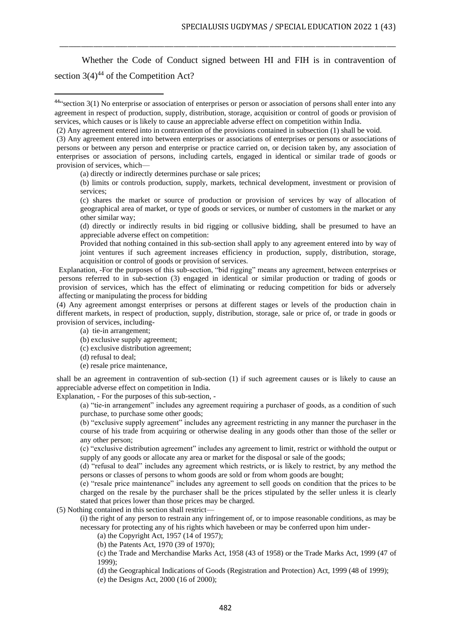Whether the Code of Conduct signed between HI and FIH is in contravention of section  $3(4)^{44}$  of the Competition Act?

\_\_\_\_\_\_\_\_\_\_\_\_\_\_\_\_\_\_\_\_\_\_\_\_\_\_\_\_\_\_\_\_\_\_\_\_\_\_\_\_\_\_\_\_\_\_\_\_\_\_\_\_\_\_\_\_\_\_\_\_\_\_\_\_\_\_\_\_\_\_\_\_\_\_\_\_\_\_\_\_\_\_\_\_\_\_\_\_\_\_\_\_\_\_\_\_\_\_\_\_\_\_\_\_\_\_\_\_\_

(d) directly or indirectly results in bid rigging or collusive bidding, shall be presumed to have an appreciable adverse effect on competition:

Provided that nothing contained in this sub-section shall apply to any agreement entered into by way of joint ventures if such agreement increases efficiency in production, supply, distribution, storage, acquisition or control of goods or provision of services.

Explanation, -For the purposes of this sub-section, "bid rigging" means any agreement, between enterprises or persons referred to in sub-section (3) engaged in identical or similar production or trading of goods or provision of services, which has the effect of eliminating or reducing competition for bids or adversely affecting or manipulating the process for bidding

(4) Any agreement amongst enterprises or persons at different stages or levels of the production chain in different markets, in respect of production, supply, distribution, storage, sale or price of, or trade in goods or provision of services, including-

(a) tie-in arrangement;

- (b) exclusive supply agreement;
- (c) exclusive distribution agreement;
- (d) refusal to deal;
- (e) resale price maintenance,

shall be an agreement in contravention of sub-section (1) if such agreement causes or is likely to cause an appreciable adverse effect on competition in India.

Explanation, - For the purposes of this sub-section, -

(a) "tie-in arrangement" includes any agreement requiring a purchaser of goods, as a condition of such purchase, to purchase some other goods;

(b) "exclusive supply agreement" includes any agreement restricting in any manner the purchaser in the course of his trade from acquiring or otherwise dealing in any goods other than those of the seller or any other person;

(c) "exclusive distribution agreement" includes any agreement to limit, restrict or withhold the output or supply of any goods or allocate any area or market for the disposal or sale of the goods;

(d) "refusal to deal" includes any agreement which restricts, or is likely to restrict, by any method the persons or classes of persons to whom goods are sold or from whom goods are bought;

(e) "resale price maintenance" includes any agreement to sell goods on condition that the prices to be charged on the resale by the purchaser shall be the prices stipulated by the seller unless it is clearly stated that prices lower than those prices may be charged.

(5) Nothing contained in this section shall restrict—

(i) the right of any person to restrain any infringement of, or to impose reasonable conditions, as may be necessary for protecting any of his rights which havebeen or may be conferred upon him under-

(a) the Copyright Act, 1957 (14 of 1957);

(b) the Patents Act, 1970 (39 of 1970);

(c) the Trade and Merchandise Marks Act, 1958 (43 of 1958) or the Trade Marks Act, 1999 (47 of 1999);

(d) the Geographical Indications of Goods (Registration and Protection) Act, 1999 (48 of 1999);

(e) the Designs Act, 2000 (16 of 2000);

<sup>&</sup>lt;sup>44"</sup> section 3(1) No enterprise or association of enterprises or person or association of persons shall enter into any agreement in respect of production, supply, distribution, storage, acquisition or control of goods or provision of services, which causes or is likely to cause an appreciable adverse effect on competition within India.

<sup>(2)</sup> Any agreement entered into in contravention of the provisions contained in subsection (1) shall be void.

<sup>(3)</sup> Any agreement entered into between enterprises or associations of enterprises or persons or associations of persons or between any person and enterprise or practice carried on, or decision taken by, any association of enterprises or association of persons, including cartels, engaged in identical or similar trade of goods or provision of services, which—

<sup>(</sup>a) directly or indirectly determines purchase or sale prices;

<sup>(</sup>b) limits or controls production, supply, markets, technical development, investment or provision of services;

<sup>(</sup>c) shares the market or source of production or provision of services by way of allocation of geographical area of market, or type of goods or services, or number of customers in the market or any other similar way;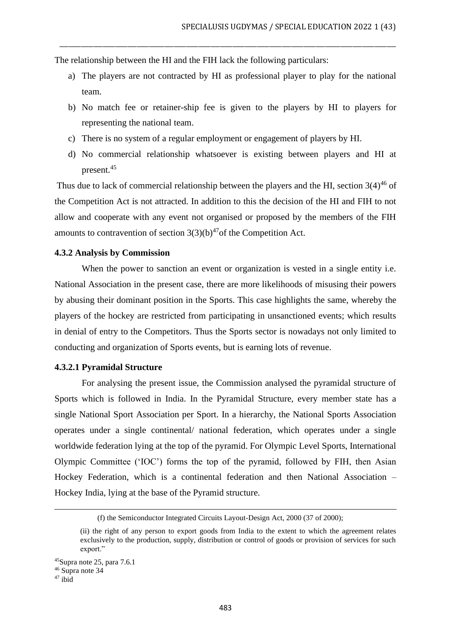The relationship between the HI and the FIH lack the following particulars:

a) The players are not contracted by HI as professional player to play for the national team.

\_\_\_\_\_\_\_\_\_\_\_\_\_\_\_\_\_\_\_\_\_\_\_\_\_\_\_\_\_\_\_\_\_\_\_\_\_\_\_\_\_\_\_\_\_\_\_\_\_\_\_\_\_\_\_\_\_\_\_\_\_\_\_\_\_\_\_\_\_\_\_\_\_\_\_\_\_\_\_\_\_\_\_\_\_\_\_\_\_\_\_\_\_\_\_\_\_\_\_\_\_\_\_\_\_\_\_\_\_

- b) No match fee or retainer-ship fee is given to the players by HI to players for representing the national team.
- c) There is no system of a regular employment or engagement of players by HI.
- d) No commercial relationship whatsoever is existing between players and HI at present.<sup>45</sup>

Thus due to lack of commercial relationship between the players and the HI, section  $3(4)^{46}$  of the Competition Act is not attracted. In addition to this the decision of the HI and FIH to not allow and cooperate with any event not organised or proposed by the members of the FIH amounts to contravention of section  $3(3)(b)^{47}$  of the Competition Act.

## **4.3.2 Analysis by Commission**

When the power to sanction an event or organization is vested in a single entity i.e. National Association in the present case, there are more likelihoods of misusing their powers by abusing their dominant position in the Sports. This case highlights the same, whereby the players of the hockey are restricted from participating in unsanctioned events; which results in denial of entry to the Competitors. Thus the Sports sector is nowadays not only limited to conducting and organization of Sports events, but is earning lots of revenue.

### **4.3.2.1 Pyramidal Structure**

For analysing the present issue, the Commission analysed the pyramidal structure of Sports which is followed in India. In the Pyramidal Structure, every member state has a single National Sport Association per Sport. In a hierarchy, the National Sports Association operates under a single continental/ national federation, which operates under a single worldwide federation lying at the top of the pyramid. For Olympic Level Sports, International Olympic Committee ('IOC') forms the top of the pyramid, followed by FIH, then Asian Hockey Federation, which is a continental federation and then National Association – Hockey India, lying at the base of the Pyramid structure.

<sup>(</sup>f) the Semiconductor Integrated Circuits Layout-Design Act, 2000 (37 of 2000);

<sup>(</sup>ii) the right of any person to export goods from India to the extent to which the agreement relates exclusively to the production, supply, distribution or control of goods or provision of services for such export."

 $47$  ibid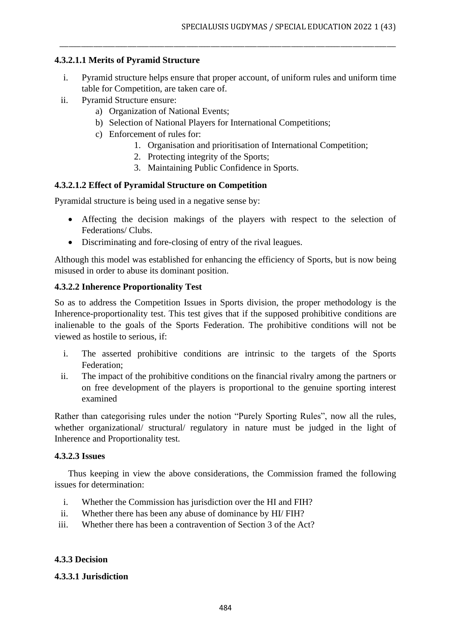## **4.3.2.1.1 Merits of Pyramid Structure**

i. Pyramid structure helps ensure that proper account, of uniform rules and uniform time table for Competition, are taken care of.

\_\_\_\_\_\_\_\_\_\_\_\_\_\_\_\_\_\_\_\_\_\_\_\_\_\_\_\_\_\_\_\_\_\_\_\_\_\_\_\_\_\_\_\_\_\_\_\_\_\_\_\_\_\_\_\_\_\_\_\_\_\_\_\_\_\_\_\_\_\_\_\_\_\_\_\_\_\_\_\_\_\_\_\_\_\_\_\_\_\_\_\_\_\_\_\_\_\_\_\_\_\_\_\_\_\_\_\_\_

- ii. Pyramid Structure ensure:
	- a) Organization of National Events;
	- b) Selection of National Players for International Competitions;
	- c) Enforcement of rules for:
		- 1. Organisation and prioritisation of International Competition;
		- 2. Protecting integrity of the Sports;
		- 3. Maintaining Public Confidence in Sports.

## **4.3.2.1.2 Effect of Pyramidal Structure on Competition**

Pyramidal structure is being used in a negative sense by:

- Affecting the decision makings of the players with respect to the selection of Federations/ Clubs.
- Discriminating and fore-closing of entry of the rival leagues.

Although this model was established for enhancing the efficiency of Sports, but is now being misused in order to abuse its dominant position.

## **4.3.2.2 Inherence Proportionality Test**

So as to address the Competition Issues in Sports division, the proper methodology is the Inherence-proportionality test. This test gives that if the supposed prohibitive conditions are inalienable to the goals of the Sports Federation. The prohibitive conditions will not be viewed as hostile to serious, if:

- i. The asserted prohibitive conditions are intrinsic to the targets of the Sports Federation;
- ii. The impact of the prohibitive conditions on the financial rivalry among the partners or on free development of the players is proportional to the genuine sporting interest examined

Rather than categorising rules under the notion "Purely Sporting Rules", now all the rules, whether organizational/ structural/ regulatory in nature must be judged in the light of Inherence and Proportionality test.

## **4.3.2.3 Issues**

Thus keeping in view the above considerations, the Commission framed the following issues for determination:

- i. Whether the Commission has jurisdiction over the HI and FIH?
- ii. Whether there has been any abuse of dominance by HI/ FIH?
- iii. Whether there has been a contravention of Section 3 of the Act?

## **4.3.3 Decision**

## **4.3.3.1 Jurisdiction**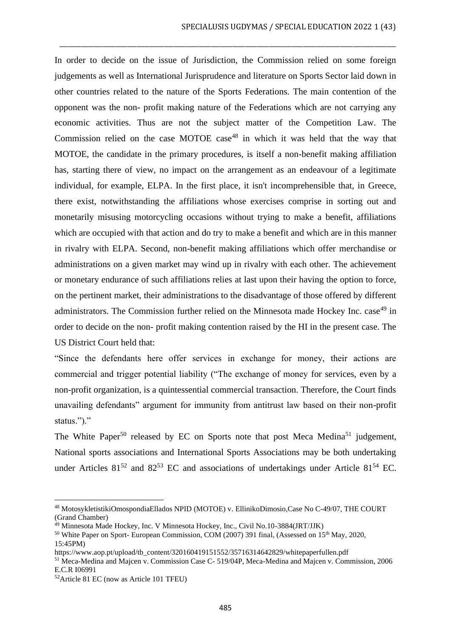In order to decide on the issue of Jurisdiction, the Commission relied on some foreign judgements as well as International Jurisprudence and literature on Sports Sector laid down in other countries related to the nature of the Sports Federations. The main contention of the opponent was the non- profit making nature of the Federations which are not carrying any economic activities. Thus are not the subject matter of the Competition Law. The Commission relied on the case MOTOE case<sup>48</sup> in which it was held that the way that MOTOE, the candidate in the primary procedures, is itself a non-benefit making affiliation has, starting there of view, no impact on the arrangement as an endeavour of a legitimate individual, for example, ELPA. In the first place, it isn't incomprehensible that, in Greece, there exist, notwithstanding the affiliations whose exercises comprise in sorting out and monetarily misusing motorcycling occasions without trying to make a benefit, affiliations which are occupied with that action and do try to make a benefit and which are in this manner in rivalry with ELPA. Second, non-benefit making affiliations which offer merchandise or administrations on a given market may wind up in rivalry with each other. The achievement or monetary endurance of such affiliations relies at last upon their having the option to force, on the pertinent market, their administrations to the disadvantage of those offered by different administrators. The Commission further relied on the Minnesota made Hockey Inc. case<sup>49</sup> in order to decide on the non- profit making contention raised by the HI in the present case. The US District Court held that:

\_\_\_\_\_\_\_\_\_\_\_\_\_\_\_\_\_\_\_\_\_\_\_\_\_\_\_\_\_\_\_\_\_\_\_\_\_\_\_\_\_\_\_\_\_\_\_\_\_\_\_\_\_\_\_\_\_\_\_\_\_\_\_\_\_\_\_\_\_\_\_\_\_\_\_\_\_\_\_\_\_\_\_\_\_\_\_\_\_\_\_\_\_\_\_\_\_\_\_\_\_\_\_\_\_\_\_\_\_

"Since the defendants here offer services in exchange for money, their actions are commercial and trigger potential liability ("The exchange of money for services, even by a non-profit organization, is a quintessential commercial transaction. Therefore, the Court finds unavailing defendants" argument for immunity from antitrust law based on their non-profit status.")."

The White Paper<sup>50</sup> released by EC on Sports note that post Meca Medina<sup>51</sup> judgement, National sports associations and International Sports Associations may be both undertaking under Articles  $81^{52}$  and  $82^{53}$  EC and associations of undertakings under Article  $81^{54}$  EC.

<sup>48</sup> MotosykletistikiOmospondiaEllados NPID (MOTOE) v. EllinikoDimosio,Case No C-49/07, THE COURT (Grand Chamber)

<sup>49</sup> Minnesota Made Hockey, Inc. V Minnesota Hockey, Inc., Civil No.10-3884(JRT/JJK)

<sup>&</sup>lt;sup>50</sup> White Paper on Sport- European Commission, COM (2007) 391 final, (Assessed on 15<sup>th</sup> May, 2020, 15:45PM)

[https://www.aop.pt/upload/tb\\_content/320160419151552/35716314642829/whitepaperfullen.pdf](https://www.aop.pt/upload/tb_content/320160419151552/35716314642829/whitepaperfullen.pdf)

<sup>51</sup> Meca-Medina and Majcen v. Commission Case C- 519/04P, Meca-Medina and Majcen v. Commission, 2006 E.C.R I06991

<sup>52</sup>Article 81 EC (now as Article 101 TFEU)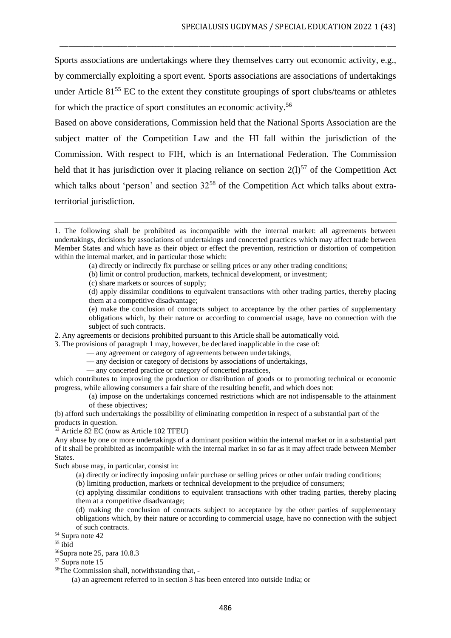Sports associations are undertakings where they themselves carry out economic activity, e.g., by commercially exploiting a sport event. Sports associations are associations of undertakings under Article  $81^{55}$  EC to the extent they constitute groupings of sport clubs/teams or athletes for which the practice of sport constitutes an economic activity.<sup>56</sup>

\_\_\_\_\_\_\_\_\_\_\_\_\_\_\_\_\_\_\_\_\_\_\_\_\_\_\_\_\_\_\_\_\_\_\_\_\_\_\_\_\_\_\_\_\_\_\_\_\_\_\_\_\_\_\_\_\_\_\_\_\_\_\_\_\_\_\_\_\_\_\_\_\_\_\_\_\_\_\_\_\_\_\_\_\_\_\_\_\_\_\_\_\_\_\_\_\_\_\_\_\_\_\_\_\_\_\_\_\_

Based on above considerations, Commission held that the National Sports Association are the subject matter of the Competition Law and the HI fall within the jurisdiction of the Commission. With respect to FIH, which is an International Federation. The Commission held that it has jurisdiction over it placing reliance on section  $2(1)^{57}$  of the Competition Act which talks about 'person' and section  $32^{58}$  of the Competition Act which talks about extraterritorial jurisdiction.

- (a) directly or indirectly fix purchase or selling prices or any other trading conditions;
- (b) limit or control production, markets, technical development, or investment;
- (c) share markets or sources of supply;

(d) apply dissimilar conditions to equivalent transactions with other trading parties, thereby placing them at a competitive disadvantage;

(e) make the conclusion of contracts subject to acceptance by the other parties of supplementary obligations which, by their nature or according to commercial usage, have no connection with the subject of such contracts.

2. Any agreements or decisions prohibited pursuant to this Article shall be automatically void.

3. The provisions of paragraph 1 may, however, be declared inapplicable in the case of:

— any agreement or category of agreements between undertakings,

- any decision or category of decisions by associations of undertakings,
- any concerted practice or category of concerted practices,

which contributes to improving the production or distribution of goods or to promoting technical or economic progress, while allowing consumers a fair share of the resulting benefit, and which does not:

(a) impose on the undertakings concerned restrictions which are not indispensable to the attainment of these objectives;

(b) afford such undertakings the possibility of eliminating competition in respect of a substantial part of the products in question.

<sup>53</sup> Article 82 EC (now as Article 102 TFEU)

Any abuse by one or more undertakings of a dominant position within the internal market or in a substantial part of it shall be prohibited as incompatible with the internal market in so far as it may affect trade between Member **States** 

Such abuse may, in particular, consist in:

- (a) directly or indirectly imposing unfair purchase or selling prices or other unfair trading conditions;
- (b) limiting production, markets or technical development to the prejudice of consumers;

(c) applying dissimilar conditions to equivalent transactions with other trading parties, thereby placing them at a competitive disadvantage;

(d) making the conclusion of contracts subject to acceptance by the other parties of supplementary obligations which, by their nature or according to commercial usage, have no connection with the subject of such contracts.

<sup>54</sup> Supra note 42

<sup>55</sup> ibid

<sup>58</sup>The Commission shall, notwithstanding that, -

(a) an agreement referred to in section 3 has been entered into outside India; or

<sup>1.</sup> The following shall be prohibited as incompatible with the internal market: all agreements between undertakings, decisions by associations of undertakings and concerted practices which may affect trade between Member States and which have as their object or effect the prevention, restriction or distortion of competition within the internal market, and in particular those which:

<sup>56</sup>Supra note 25, para 10.8.3

<sup>57</sup> Supra note 15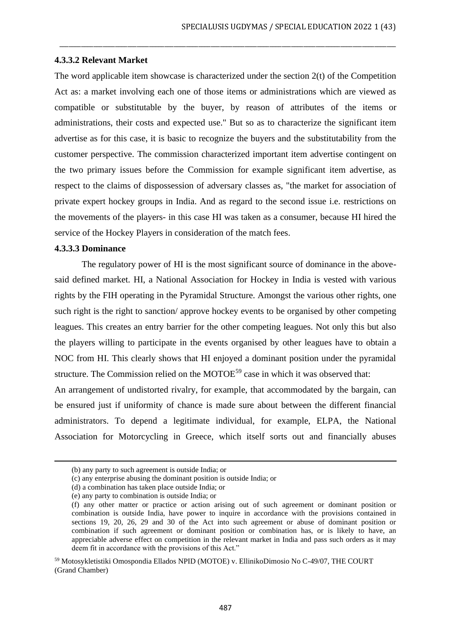### **4.3.3.2 Relevant Market**

The word applicable item showcase is characterized under the section 2(t) of the Competition Act as: a market involving each one of those items or administrations which are viewed as compatible or substitutable by the buyer, by reason of attributes of the items or administrations, their costs and expected use." But so as to characterize the significant item advertise as for this case, it is basic to recognize the buyers and the substitutability from the customer perspective. The commission characterized important item advertise contingent on the two primary issues before the Commission for example significant item advertise, as respect to the claims of dispossession of adversary classes as, "the market for association of private expert hockey groups in India. And as regard to the second issue i.e. restrictions on the movements of the players- in this case HI was taken as a consumer, because HI hired the service of the Hockey Players in consideration of the match fees.

\_\_\_\_\_\_\_\_\_\_\_\_\_\_\_\_\_\_\_\_\_\_\_\_\_\_\_\_\_\_\_\_\_\_\_\_\_\_\_\_\_\_\_\_\_\_\_\_\_\_\_\_\_\_\_\_\_\_\_\_\_\_\_\_\_\_\_\_\_\_\_\_\_\_\_\_\_\_\_\_\_\_\_\_\_\_\_\_\_\_\_\_\_\_\_\_\_\_\_\_\_\_\_\_\_\_\_\_\_

#### **4.3.3.3 Dominance**

The regulatory power of HI is the most significant source of dominance in the abovesaid defined market. HI, a National Association for Hockey in India is vested with various rights by the FIH operating in the Pyramidal Structure. Amongst the various other rights, one such right is the right to sanction/ approve hockey events to be organised by other competing leagues. This creates an entry barrier for the other competing leagues. Not only this but also the players willing to participate in the events organised by other leagues have to obtain a NOC from HI. This clearly shows that HI enjoyed a dominant position under the pyramidal structure. The Commission relied on the MOTOE<sup>59</sup> case in which it was observed that:

An arrangement of undistorted rivalry, for example, that accommodated by the bargain, can be ensured just if uniformity of chance is made sure about between the different financial administrators. To depend a legitimate individual, for example, ELPA, the National Association for Motorcycling in Greece, which itself sorts out and financially abuses

<sup>(</sup>b) any party to such agreement is outside India; or

<sup>(</sup>c) any enterprise abusing the dominant position is outside India; or

<sup>(</sup>d) a combination has taken place outside India; or

<sup>(</sup>e) any party to combination is outside India; or

<sup>(</sup>f) any other matter or practice or action arising out of such agreement or dominant position or combination is outside India, have power to inquire in accordance with the provisions contained in sections 19, 20, 26, 29 and 30 of the Act into such agreement or abuse of dominant position or combination if such agreement or dominant position or combination has, or is likely to have, an appreciable adverse effect on competition in the relevant market in India and pass such orders as it may deem fit in accordance with the provisions of this Act."

<sup>59</sup> Motosykletistiki Omospondia Ellados NPID (MOTOE) v. EllinikoDimosio No C-49/07, THE COURT (Grand Chamber)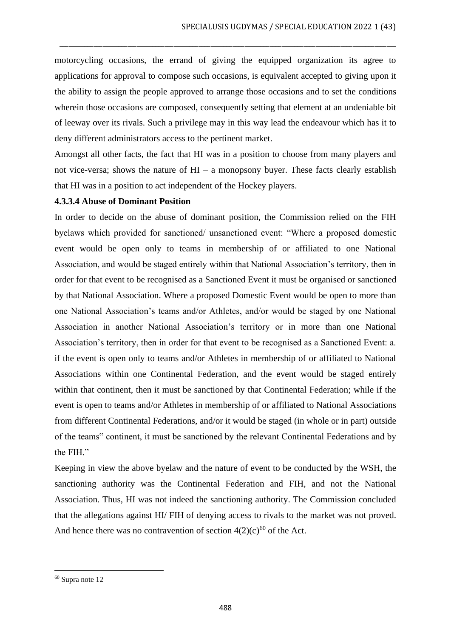motorcycling occasions, the errand of giving the equipped organization its agree to applications for approval to compose such occasions, is equivalent accepted to giving upon it the ability to assign the people approved to arrange those occasions and to set the conditions wherein those occasions are composed, consequently setting that element at an undeniable bit of leeway over its rivals. Such a privilege may in this way lead the endeavour which has it to deny different administrators access to the pertinent market.

\_\_\_\_\_\_\_\_\_\_\_\_\_\_\_\_\_\_\_\_\_\_\_\_\_\_\_\_\_\_\_\_\_\_\_\_\_\_\_\_\_\_\_\_\_\_\_\_\_\_\_\_\_\_\_\_\_\_\_\_\_\_\_\_\_\_\_\_\_\_\_\_\_\_\_\_\_\_\_\_\_\_\_\_\_\_\_\_\_\_\_\_\_\_\_\_\_\_\_\_\_\_\_\_\_\_\_\_\_

Amongst all other facts, the fact that HI was in a position to choose from many players and not vice-versa; shows the nature of  $HI - a$  monopsony buyer. These facts clearly establish that HI was in a position to act independent of the Hockey players.

## **4.3.3.4 Abuse of Dominant Position**

In order to decide on the abuse of dominant position, the Commission relied on the FIH byelaws which provided for sanctioned/ unsanctioned event: "Where a proposed domestic event would be open only to teams in membership of or affiliated to one National Association, and would be staged entirely within that National Association's territory, then in order for that event to be recognised as a Sanctioned Event it must be organised or sanctioned by that National Association. Where a proposed Domestic Event would be open to more than one National Association's teams and/or Athletes, and/or would be staged by one National Association in another National Association's territory or in more than one National Association's territory, then in order for that event to be recognised as a Sanctioned Event: a. if the event is open only to teams and/or Athletes in membership of or affiliated to National Associations within one Continental Federation, and the event would be staged entirely within that continent, then it must be sanctioned by that Continental Federation; while if the event is open to teams and/or Athletes in membership of or affiliated to National Associations from different Continental Federations, and/or it would be staged (in whole or in part) outside of the teams" continent, it must be sanctioned by the relevant Continental Federations and by the FIH."

Keeping in view the above byelaw and the nature of event to be conducted by the WSH, the sanctioning authority was the Continental Federation and FIH, and not the National Association. Thus, HI was not indeed the sanctioning authority. The Commission concluded that the allegations against HI/ FIH of denying access to rivals to the market was not proved. And hence there was no contravention of section  $4(2)(c)^{60}$  of the Act.

<sup>60</sup> Supra note 12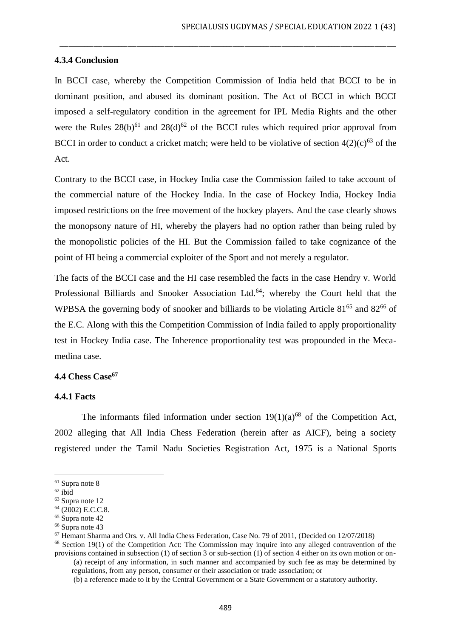### **4.3.4 Conclusion**

In BCCI case, whereby the Competition Commission of India held that BCCI to be in dominant position, and abused its dominant position. The Act of BCCI in which BCCI imposed a self-regulatory condition in the agreement for IPL Media Rights and the other were the Rules  $28(b)^{61}$  and  $28(d)^{62}$  of the BCCI rules which required prior approval from BCCI in order to conduct a cricket match; were held to be violative of section  $4(2)(c)^{63}$  of the Act.

\_\_\_\_\_\_\_\_\_\_\_\_\_\_\_\_\_\_\_\_\_\_\_\_\_\_\_\_\_\_\_\_\_\_\_\_\_\_\_\_\_\_\_\_\_\_\_\_\_\_\_\_\_\_\_\_\_\_\_\_\_\_\_\_\_\_\_\_\_\_\_\_\_\_\_\_\_\_\_\_\_\_\_\_\_\_\_\_\_\_\_\_\_\_\_\_\_\_\_\_\_\_\_\_\_\_\_\_\_

Contrary to the BCCI case, in Hockey India case the Commission failed to take account of the commercial nature of the Hockey India. In the case of Hockey India, Hockey India imposed restrictions on the free movement of the hockey players. And the case clearly shows the monopsony nature of HI, whereby the players had no option rather than being ruled by the monopolistic policies of the HI. But the Commission failed to take cognizance of the point of HI being a commercial exploiter of the Sport and not merely a regulator.

The facts of the BCCI case and the HI case resembled the facts in the case Hendry v. World Professional Billiards and Snooker Association Ltd.<sup>64</sup>; whereby the Court held that the WPBSA the governing body of snooker and billiards to be violating Article  $81^{65}$  and  $82^{66}$  of the E.C. Along with this the Competition Commission of India failed to apply proportionality test in Hockey India case. The Inherence proportionality test was propounded in the Mecamedina case.

### **4.4 Chess Case<sup>67</sup>**

### **4.4.1 Facts**

The informants filed information under section  $19(1)(a)^{68}$  of the Competition Act, 2002 alleging that All India Chess Federation (herein after as AICF), being a society registered under the Tamil Nadu Societies Registration Act, 1975 is a National Sports

<sup>61</sup> Supra note 8

 $62$  ibid

<sup>63</sup> Supra note 12

 $64$  (2002) E.C.C.8.

<sup>65</sup> Supra note 42

<sup>66</sup> Supra note 43

<sup>67</sup> Hemant Sharma and Ors. v. All India Chess Federation, Case No. 79 of 2011, (Decided on 12/07/2018)

<sup>&</sup>lt;sup>68</sup> Section 19(1) of the Competition Act: The Commission may inquire into any alleged contravention of the provisions contained in subsection (1) of section 3 or sub-section (1) of section 4 either on its own motion or on- (a) receipt of any information, in such manner and accompanied by such fee as may be determined by

regulations, from any person, consumer or their association or trade association; or

<sup>(</sup>b) a reference made to it by the Central Government or a State Government or a statutory authority.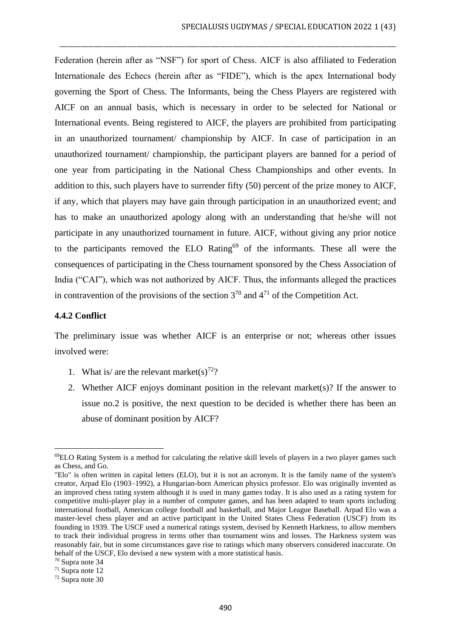Federation (herein after as "NSF") for sport of Chess. AICF is also affiliated to Federation Internationale des Echecs (herein after as "FIDE"), which is the apex International body governing the Sport of Chess. The Informants, being the Chess Players are registered with AICF on an annual basis, which is necessary in order to be selected for National or International events. Being registered to AICF, the players are prohibited from participating in an unauthorized tournament/ championship by AICF. In case of participation in an unauthorized tournament/ championship, the participant players are banned for a period of one year from participating in the National Chess Championships and other events. In addition to this, such players have to surrender fifty (50) percent of the prize money to AICF, if any, which that players may have gain through participation in an unauthorized event; and has to make an unauthorized apology along with an understanding that he/she will not participate in any unauthorized tournament in future. AICF, without giving any prior notice to the participants removed the ELO Rating $^{69}$  of the informants. These all were the consequences of participating in the Chess tournament sponsored by the Chess Association of India ("CAI"), which was not authorized by AICF. Thus, the informants alleged the practices in contravention of the provisions of the section  $3^{70}$  and  $4^{71}$  of the Competition Act.

\_\_\_\_\_\_\_\_\_\_\_\_\_\_\_\_\_\_\_\_\_\_\_\_\_\_\_\_\_\_\_\_\_\_\_\_\_\_\_\_\_\_\_\_\_\_\_\_\_\_\_\_\_\_\_\_\_\_\_\_\_\_\_\_\_\_\_\_\_\_\_\_\_\_\_\_\_\_\_\_\_\_\_\_\_\_\_\_\_\_\_\_\_\_\_\_\_\_\_\_\_\_\_\_\_\_\_\_\_

## **4.4.2 Conflict**

The preliminary issue was whether AICF is an enterprise or not; whereas other issues involved were:

- 1. What is/ are the relevant market(s)<sup>72</sup>?
- 2. Whether AICF enjoys dominant position in the relevant market(s)? If the answer to issue no.2 is positive, the next question to be decided is whether there has been an abuse of dominant position by AICF?

<sup>69</sup>ELO Rating System is a method for calculating the relative skill levels of players in a two player games such as Chess, and Go.

<sup>&</sup>quot;Elo" is often written in capital letters (ELO), but it is not an acronym. It is the family name of the system's creator, Arpad Elo (1903–1992), a Hungarian-born American physics professor. Elo was originally invented as an improved chess rating system although it is used in many games today. It is also used as a rating system for competitive multi-player play in a number of computer games, and has been adapted to team sports including international football, American college football and basketball, and Major League Baseball. Arpad Elo was a master-level chess player and an active participant in the United States Chess Federation (USCF) from its founding in 1939. The USCF used a numerical ratings system, devised by Kenneth Harkness, to allow members to track their individual progress in terms other than tournament wins and losses. The Harkness system was reasonably fair, but in some circumstances gave rise to ratings which many observers considered inaccurate. On behalf of the USCF, Elo devised a new system with a more statistical basis.

<sup>70</sup> Supra note 34

 $71$  Supra note 12

<sup>72</sup> Supra note 30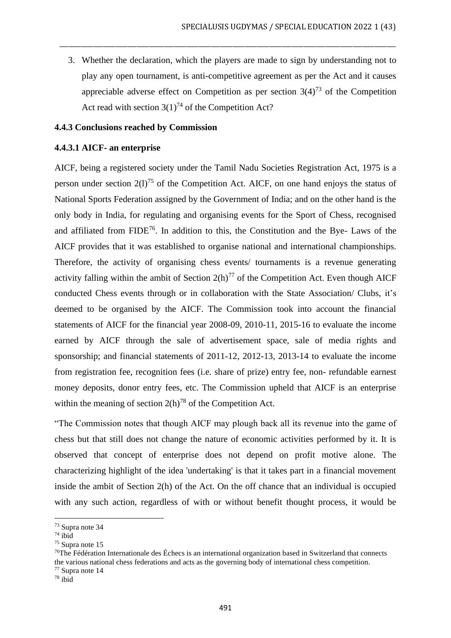3. Whether the declaration, which the players are made to sign by understanding not to play any open tournament, is anti-competitive agreement as per the Act and it causes appreciable adverse effect on Competition as per section  $3(4)^{73}$  of the Competition Act read with section  $3(1)^{74}$  of the Competition Act?

\_\_\_\_\_\_\_\_\_\_\_\_\_\_\_\_\_\_\_\_\_\_\_\_\_\_\_\_\_\_\_\_\_\_\_\_\_\_\_\_\_\_\_\_\_\_\_\_\_\_\_\_\_\_\_\_\_\_\_\_\_\_\_\_\_\_\_\_\_\_\_\_\_\_\_\_\_\_\_\_\_\_\_\_\_\_\_\_\_\_\_\_\_\_\_\_\_\_\_\_\_\_\_\_\_\_\_\_\_

### **4.4.3 Conclusions reached by Commission**

#### **4.4.3.1 AICF- an enterprise**

AICF, being a registered society under the Tamil Nadu Societies Registration Act, 1975 is a person under section  $2(1)^{75}$  of the Competition Act. AICF, on one hand enjoys the status of National Sports Federation assigned by the Government of India; and on the other hand is the only body in India, for regulating and organising events for the Sport of Chess, recognised and affiliated from  $FIDE^{76}$ . In addition to this, the Constitution and the Bye- Laws of the AICF provides that it was established to organise national and international championships. Therefore, the activity of organising chess events/ tournaments is a revenue generating activity falling within the ambit of Section  $2(h)^{77}$  of the Competition Act. Even though AICF conducted Chess events through or in collaboration with the State Association/ Clubs, it's deemed to be organised by the AICF. The Commission took into account the financial statements of AICF for the financial year 2008-09, 2010-11, 2015-16 to evaluate the income earned by AICF through the sale of advertisement space, sale of media rights and sponsorship; and financial statements of 2011-12, 2012-13, 2013-14 to evaluate the income from registration fee, recognition fees (i.e. share of prize) entry fee, non- refundable earnest money deposits, donor entry fees, etc. The Commission upheld that AICF is an enterprise within the meaning of section  $2(h)^{78}$  of the Competition Act.

"The Commission notes that though AICF may plough back all its revenue into the game of chess but that still does not change the nature of economic activities performed by it. It is observed that concept of enterprise does not depend on profit motive alone. The characterizing highlight of the idea 'undertaking' is that it takes part in a financial movement inside the ambit of Section 2(h) of the Act. On the off chance that an individual is occupied with any such action, regardless of with or without benefit thought process, it would be

<sup>73</sup> Supra note 34

 $74$  ibid

<sup>75</sup> Supra note 15

<sup>&</sup>lt;sup>76</sup>The Fédération Internationale des Échecs is an international organization based in Switzerland that connects the various national chess federations and acts as the governing body of international chess competition.

<sup>77</sup> Supra note 14

 $78$  ibid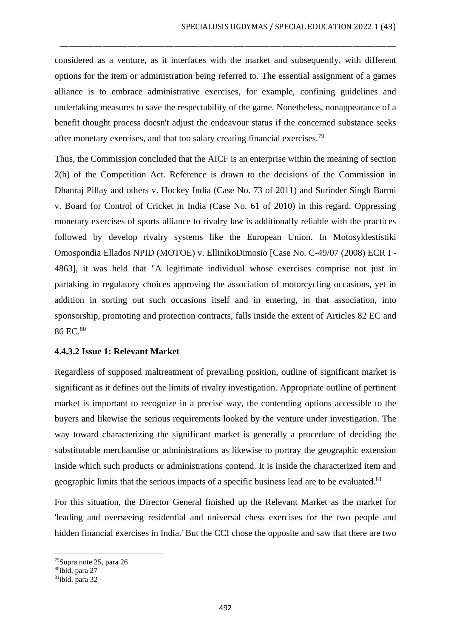considered as a venture, as it interfaces with the market and subsequently, with different options for the item or administration being referred to. The essential assignment of a games alliance is to embrace administrative exercises, for example, confining guidelines and undertaking measures to save the respectability of the game. Nonetheless, nonappearance of a benefit thought process doesn't adjust the endeavour status if the concerned substance seeks after monetary exercises, and that too salary creating financial exercises.<sup>79</sup>

\_\_\_\_\_\_\_\_\_\_\_\_\_\_\_\_\_\_\_\_\_\_\_\_\_\_\_\_\_\_\_\_\_\_\_\_\_\_\_\_\_\_\_\_\_\_\_\_\_\_\_\_\_\_\_\_\_\_\_\_\_\_\_\_\_\_\_\_\_\_\_\_\_\_\_\_\_\_\_\_\_\_\_\_\_\_\_\_\_\_\_\_\_\_\_\_\_\_\_\_\_\_\_\_\_\_\_\_\_

Thus, the Commission concluded that the AICF is an enterprise within the meaning of section 2(h) of the Competition Act. Reference is drawn to the decisions of the Commission in Dhanraj Pillay and others v. Hockey India (Case No. 73 of 2011) and Surinder Singh Barmi v. Board for Control of Cricket in India (Case No. 61 of 2010) in this regard. Oppressing monetary exercises of sports alliance to rivalry law is additionally reliable with the practices followed by develop rivalry systems like the European Union. In Motosyklestistiki Omospondia Ellados NPID (MOTOE) v. EllinikoDimosio [Case No. C-49/07 (2008) ECR I - 4863], it was held that "A legitimate individual whose exercises comprise not just in partaking in regulatory choices approving the association of motorcycling occasions, yet in addition in sorting out such occasions itself and in entering, in that association, into sponsorship, promoting and protection contracts, falls inside the extent of Articles 82 EC and 86 EC.<sup>80</sup>

## **4.4.3.2 Issue 1: Relevant Market**

Regardless of supposed maltreatment of prevailing position, outline of significant market is significant as it defines out the limits of rivalry investigation. Appropriate outline of pertinent market is important to recognize in a precise way, the contending options accessible to the buyers and likewise the serious requirements looked by the venture under investigation. The way toward characterizing the significant market is generally a procedure of deciding the substitutable merchandise or administrations as likewise to portray the geographic extension inside which such products or administrations contend. It is inside the characterized item and geographic limits that the serious impacts of a specific business lead are to be evaluated. $81$ 

For this situation, the Director General finished up the Relevant Market as the market for 'leading and overseeing residential and universal chess exercises for the two people and hidden financial exercises in India.' But the CCI chose the opposite and saw that there are two

<sup>79</sup>Supra note 25, para 26

<sup>80</sup>ibid, para 27

 $81$ ibid, para 32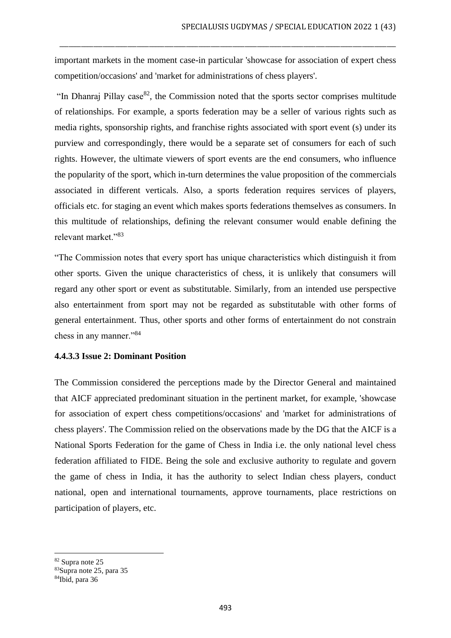important markets in the moment case-in particular 'showcase for association of expert chess competition/occasions' and 'market for administrations of chess players'.

\_\_\_\_\_\_\_\_\_\_\_\_\_\_\_\_\_\_\_\_\_\_\_\_\_\_\_\_\_\_\_\_\_\_\_\_\_\_\_\_\_\_\_\_\_\_\_\_\_\_\_\_\_\_\_\_\_\_\_\_\_\_\_\_\_\_\_\_\_\_\_\_\_\_\_\_\_\_\_\_\_\_\_\_\_\_\_\_\_\_\_\_\_\_\_\_\_\_\_\_\_\_\_\_\_\_\_\_\_

"In Dhanraj Pillay case<sup>82</sup>, the Commission noted that the sports sector comprises multitude of relationships. For example, a sports federation may be a seller of various rights such as media rights, sponsorship rights, and franchise rights associated with sport event (s) under its purview and correspondingly, there would be a separate set of consumers for each of such rights. However, the ultimate viewers of sport events are the end consumers, who influence the popularity of the sport, which in-turn determines the value proposition of the commercials associated in different verticals. Also, a sports federation requires services of players, officials etc. for staging an event which makes sports federations themselves as consumers. In this multitude of relationships, defining the relevant consumer would enable defining the relevant market."<sup>83</sup>

"The Commission notes that every sport has unique characteristics which distinguish it from other sports. Given the unique characteristics of chess, it is unlikely that consumers will regard any other sport or event as substitutable. Similarly, from an intended use perspective also entertainment from sport may not be regarded as substitutable with other forms of general entertainment. Thus, other sports and other forms of entertainment do not constrain chess in any manner."84

## **4.4.3.3 Issue 2: Dominant Position**

The Commission considered the perceptions made by the Director General and maintained that AICF appreciated predominant situation in the pertinent market, for example, 'showcase for association of expert chess competitions/occasions' and 'market for administrations of chess players'. The Commission relied on the observations made by the DG that the AICF is a National Sports Federation for the game of Chess in India i.e. the only national level chess federation affiliated to FIDE. Being the sole and exclusive authority to regulate and govern the game of chess in India, it has the authority to select Indian chess players, conduct national, open and international tournaments, approve tournaments, place restrictions on participation of players, etc.

<sup>82</sup> Supra note 25

<sup>&</sup>lt;sup>83</sup>Supra note 25, para 35

<sup>84</sup>Ibid, para 36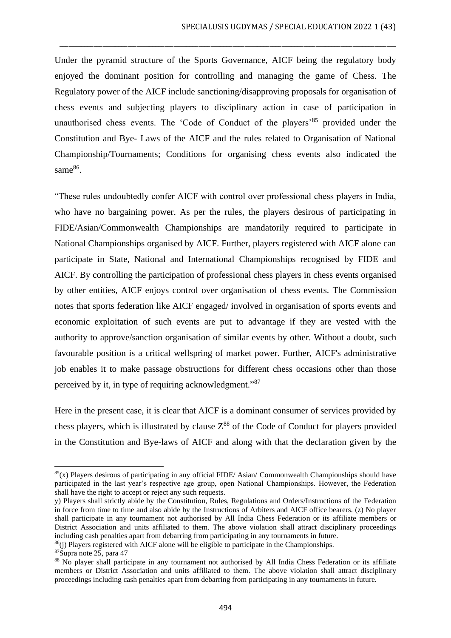Under the pyramid structure of the Sports Governance, AICF being the regulatory body enjoyed the dominant position for controlling and managing the game of Chess. The Regulatory power of the AICF include sanctioning/disapproving proposals for organisation of chess events and subjecting players to disciplinary action in case of participation in unauthorised chess events. The 'Code of Conduct of the players'<sup>85</sup> provided under the Constitution and Bye- Laws of the AICF and the rules related to Organisation of National Championship/Tournaments; Conditions for organising chess events also indicated the same<sup>86</sup>.

\_\_\_\_\_\_\_\_\_\_\_\_\_\_\_\_\_\_\_\_\_\_\_\_\_\_\_\_\_\_\_\_\_\_\_\_\_\_\_\_\_\_\_\_\_\_\_\_\_\_\_\_\_\_\_\_\_\_\_\_\_\_\_\_\_\_\_\_\_\_\_\_\_\_\_\_\_\_\_\_\_\_\_\_\_\_\_\_\_\_\_\_\_\_\_\_\_\_\_\_\_\_\_\_\_\_\_\_\_

"These rules undoubtedly confer AICF with control over professional chess players in India, who have no bargaining power. As per the rules, the players desirous of participating in FIDE/Asian/Commonwealth Championships are mandatorily required to participate in National Championships organised by AICF. Further, players registered with AICF alone can participate in State, National and International Championships recognised by FIDE and AICF. By controlling the participation of professional chess players in chess events organised by other entities, AICF enjoys control over organisation of chess events. The Commission notes that sports federation like AICF engaged/ involved in organisation of sports events and economic exploitation of such events are put to advantage if they are vested with the authority to approve/sanction organisation of similar events by other. Without a doubt, such favourable position is a critical wellspring of market power. Further, AICF's administrative job enables it to make passage obstructions for different chess occasions other than those perceived by it, in type of requiring acknowledgment."<sup>87</sup>

Here in the present case, it is clear that AICF is a dominant consumer of services provided by chess players, which is illustrated by clause  $Z^{88}$  of the Code of Conduct for players provided in the Constitution and Bye-laws of AICF and along with that the declaration given by the

 $87\overset{\circ}{\text{S}u}$  para 47

 $85(x)$  Players desirous of participating in any official FIDE/ Asian/ Commonwealth Championships should have participated in the last year's respective age group, open National Championships. However, the Federation shall have the right to accept or reject any such requests.

y) Players shall strictly abide by the Constitution, Rules, Regulations and Orders/Instructions of the Federation in force from time to time and also abide by the Instructions of Arbiters and AICF office bearers. (z) No player shall participate in any tournament not authorised by All India Chess Federation or its affiliate members or District Association and units affiliated to them. The above violation shall attract disciplinary proceedings including cash penalties apart from debarring from participating in any tournaments in future.

 $86(i)$  Players registered with AICF alone will be eligible to participate in the Championships.

<sup>88</sup> No player shall participate in any tournament not authorised by All India Chess Federation or its affiliate members or District Association and units affiliated to them. The above violation shall attract disciplinary proceedings including cash penalties apart from debarring from participating in any tournaments in future.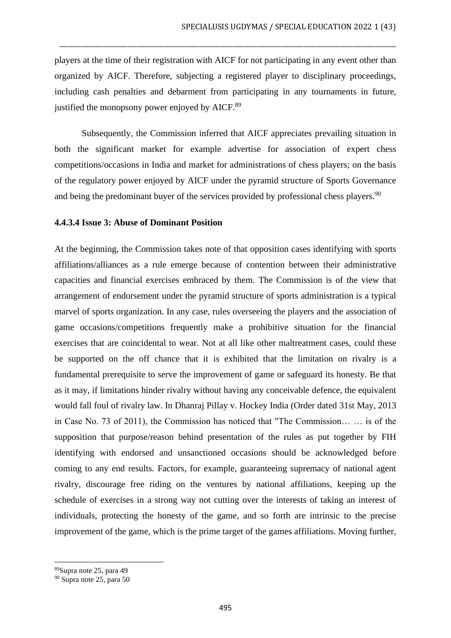players at the time of their registration with AICF for not participating in any event other than organized by AICF. Therefore, subjecting a registered player to disciplinary proceedings, including cash penalties and debarment from participating in any tournaments in future, justified the monopsony power enjoyed by AICF.<sup>89</sup>

\_\_\_\_\_\_\_\_\_\_\_\_\_\_\_\_\_\_\_\_\_\_\_\_\_\_\_\_\_\_\_\_\_\_\_\_\_\_\_\_\_\_\_\_\_\_\_\_\_\_\_\_\_\_\_\_\_\_\_\_\_\_\_\_\_\_\_\_\_\_\_\_\_\_\_\_\_\_\_\_\_\_\_\_\_\_\_\_\_\_\_\_\_\_\_\_\_\_\_\_\_\_\_\_\_\_\_\_\_

Subsequently, the Commission inferred that AICF appreciates prevailing situation in both the significant market for example advertise for association of expert chess competitions/occasions in India and market for administrations of chess players; on the basis of the regulatory power enjoyed by AICF under the pyramid structure of Sports Governance and being the predominant buyer of the services provided by professional chess players.<sup>90</sup>

### **4.4.3.4 Issue 3: Abuse of Dominant Position**

At the beginning, the Commission takes note of that opposition cases identifying with sports affiliations/alliances as a rule emerge because of contention between their administrative capacities and financial exercises embraced by them. The Commission is of the view that arrangement of endorsement under the pyramid structure of sports administration is a typical marvel of sports organization. In any case, rules overseeing the players and the association of game occasions/competitions frequently make a prohibitive situation for the financial exercises that are coincidental to wear. Not at all like other maltreatment cases, could these be supported on the off chance that it is exhibited that the limitation on rivalry is a fundamental prerequisite to serve the improvement of game or safeguard its honesty. Be that as it may, if limitations hinder rivalry without having any conceivable defence, the equivalent would fall foul of rivalry law. In Dhanraj Pillay v. Hockey India (Order dated 31st May, 2013 in Case No. 73 of 2011), the Commission has noticed that "The Commission… … is of the supposition that purpose/reason behind presentation of the rules as put together by FIH identifying with endorsed and unsanctioned occasions should be acknowledged before coming to any end results. Factors, for example, guaranteeing supremacy of national agent rivalry, discourage free riding on the ventures by national affiliations, keeping up the schedule of exercises in a strong way not cutting over the interests of taking an interest of individuals, protecting the honesty of the game, and so forth are intrinsic to the precise improvement of the game, which is the prime target of the games affiliations. Moving further,

<sup>89</sup>Supra note 25, para 49

 $90$  Supra note 25, para 50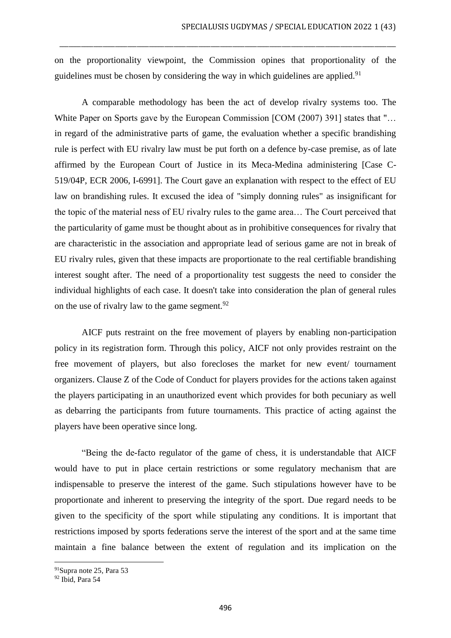on the proportionality viewpoint, the Commission opines that proportionality of the guidelines must be chosen by considering the way in which guidelines are applied.<sup>91</sup>

\_\_\_\_\_\_\_\_\_\_\_\_\_\_\_\_\_\_\_\_\_\_\_\_\_\_\_\_\_\_\_\_\_\_\_\_\_\_\_\_\_\_\_\_\_\_\_\_\_\_\_\_\_\_\_\_\_\_\_\_\_\_\_\_\_\_\_\_\_\_\_\_\_\_\_\_\_\_\_\_\_\_\_\_\_\_\_\_\_\_\_\_\_\_\_\_\_\_\_\_\_\_\_\_\_\_\_\_\_

A comparable methodology has been the act of develop rivalry systems too. The White Paper on Sports gave by the European Commission [COM (2007) 391] states that "... in regard of the administrative parts of game, the evaluation whether a specific brandishing rule is perfect with EU rivalry law must be put forth on a defence by-case premise, as of late affirmed by the European Court of Justice in its Meca-Medina administering [Case C-519/04P, ECR 2006, I-6991]. The Court gave an explanation with respect to the effect of EU law on brandishing rules. It excused the idea of "simply donning rules" as insignificant for the topic of the material ness of EU rivalry rules to the game area… The Court perceived that the particularity of game must be thought about as in prohibitive consequences for rivalry that are characteristic in the association and appropriate lead of serious game are not in break of EU rivalry rules, given that these impacts are proportionate to the real certifiable brandishing interest sought after. The need of a proportionality test suggests the need to consider the individual highlights of each case. It doesn't take into consideration the plan of general rules on the use of rivalry law to the game segment.<sup>92</sup>

AICF puts restraint on the free movement of players by enabling non-participation policy in its registration form. Through this policy, AICF not only provides restraint on the free movement of players, but also forecloses the market for new event/ tournament organizers. Clause Z of the Code of Conduct for players provides for the actions taken against the players participating in an unauthorized event which provides for both pecuniary as well as debarring the participants from future tournaments. This practice of acting against the players have been operative since long.

"Being the de-facto regulator of the game of chess, it is understandable that AICF would have to put in place certain restrictions or some regulatory mechanism that are indispensable to preserve the interest of the game. Such stipulations however have to be proportionate and inherent to preserving the integrity of the sport. Due regard needs to be given to the specificity of the sport while stipulating any conditions. It is important that restrictions imposed by sports federations serve the interest of the sport and at the same time maintain a fine balance between the extent of regulation and its implication on the

<sup>91</sup>Supra note 25, Para 53

<sup>92</sup> Ibid, Para 54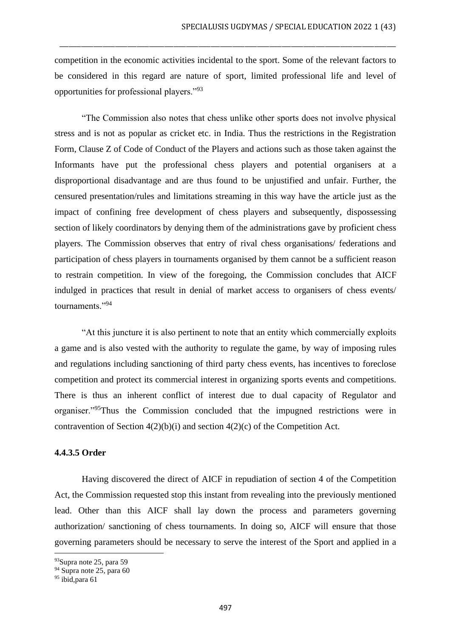competition in the economic activities incidental to the sport. Some of the relevant factors to be considered in this regard are nature of sport, limited professional life and level of opportunities for professional players."<sup>93</sup>

\_\_\_\_\_\_\_\_\_\_\_\_\_\_\_\_\_\_\_\_\_\_\_\_\_\_\_\_\_\_\_\_\_\_\_\_\_\_\_\_\_\_\_\_\_\_\_\_\_\_\_\_\_\_\_\_\_\_\_\_\_\_\_\_\_\_\_\_\_\_\_\_\_\_\_\_\_\_\_\_\_\_\_\_\_\_\_\_\_\_\_\_\_\_\_\_\_\_\_\_\_\_\_\_\_\_\_\_\_

"The Commission also notes that chess unlike other sports does not involve physical stress and is not as popular as cricket etc. in India. Thus the restrictions in the Registration Form, Clause Z of Code of Conduct of the Players and actions such as those taken against the Informants have put the professional chess players and potential organisers at a disproportional disadvantage and are thus found to be unjustified and unfair. Further, the censured presentation/rules and limitations streaming in this way have the article just as the impact of confining free development of chess players and subsequently, dispossessing section of likely coordinators by denying them of the administrations gave by proficient chess players. The Commission observes that entry of rival chess organisations/ federations and participation of chess players in tournaments organised by them cannot be a sufficient reason to restrain competition. In view of the foregoing, the Commission concludes that AICF indulged in practices that result in denial of market access to organisers of chess events/ tournaments."<sup>94</sup>

"At this juncture it is also pertinent to note that an entity which commercially exploits a game and is also vested with the authority to regulate the game, by way of imposing rules and regulations including sanctioning of third party chess events, has incentives to foreclose competition and protect its commercial interest in organizing sports events and competitions. There is thus an inherent conflict of interest due to dual capacity of Regulator and organiser."<sup>95</sup>Thus the Commission concluded that the impugned restrictions were in contravention of Section  $4(2)(b)(i)$  and section  $4(2)(c)$  of the Competition Act.

## **4.4.3.5 Order**

Having discovered the direct of AICF in repudiation of section 4 of the Competition Act, the Commission requested stop this instant from revealing into the previously mentioned lead. Other than this AICF shall lay down the process and parameters governing authorization/ sanctioning of chess tournaments. In doing so, AICF will ensure that those governing parameters should be necessary to serve the interest of the Sport and applied in a

<sup>93</sup>Supra note 25, para 59

<sup>&</sup>lt;sup>94</sup> Supra note 25, para 60

 $95$  ibid, para 61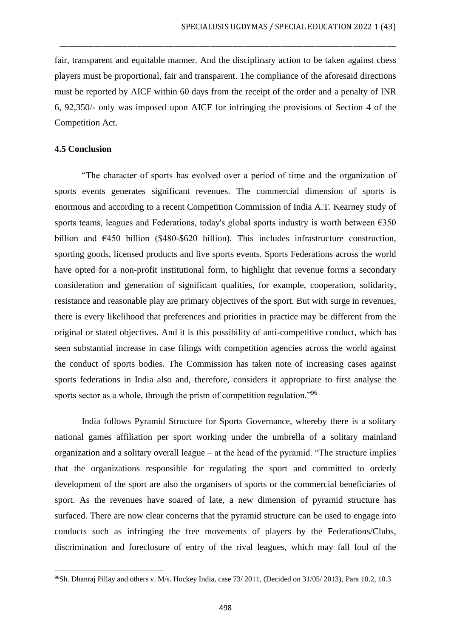fair, transparent and equitable manner. And the disciplinary action to be taken against chess players must be proportional, fair and transparent. The compliance of the aforesaid directions must be reported by AICF within 60 days from the receipt of the order and a penalty of INR 6, 92,350/- only was imposed upon AICF for infringing the provisions of Section 4 of the Competition Act.

\_\_\_\_\_\_\_\_\_\_\_\_\_\_\_\_\_\_\_\_\_\_\_\_\_\_\_\_\_\_\_\_\_\_\_\_\_\_\_\_\_\_\_\_\_\_\_\_\_\_\_\_\_\_\_\_\_\_\_\_\_\_\_\_\_\_\_\_\_\_\_\_\_\_\_\_\_\_\_\_\_\_\_\_\_\_\_\_\_\_\_\_\_\_\_\_\_\_\_\_\_\_\_\_\_\_\_\_\_

### **4.5 Conclusion**

"The character of sports has evolved over a period of time and the organization of sports events generates significant revenues. The commercial dimension of sports is enormous and according to a recent Competition Commission of India A.T. Kearney study of sports teams, leagues and Federations, today's global sports industry is worth between  $\epsilon$ 350 billion and  $E$ 450 billion (\$480-\$620 billion). This includes infrastructure construction, sporting goods, licensed products and live sports events. Sports Federations across the world have opted for a non-profit institutional form, to highlight that revenue forms a secondary consideration and generation of significant qualities, for example, cooperation, solidarity, resistance and reasonable play are primary objectives of the sport. But with surge in revenues, there is every likelihood that preferences and priorities in practice may be different from the original or stated objectives. And it is this possibility of anti-competitive conduct, which has seen substantial increase in case filings with competition agencies across the world against the conduct of sports bodies. The Commission has taken note of increasing cases against sports federations in India also and, therefore, considers it appropriate to first analyse the sports sector as a whole, through the prism of competition regulation."<sup>96</sup>

India follows Pyramid Structure for Sports Governance, whereby there is a solitary national games affiliation per sport working under the umbrella of a solitary mainland organization and a solitary overall league – at the head of the pyramid. "The structure implies that the organizations responsible for regulating the sport and committed to orderly development of the sport are also the organisers of sports or the commercial beneficiaries of sport. As the revenues have soared of late, a new dimension of pyramid structure has surfaced. There are now clear concerns that the pyramid structure can be used to engage into conducts such as infringing the free movements of players by the Federations/Clubs, discrimination and foreclosure of entry of the rival leagues, which may fall foul of the

<sup>96</sup>Sh. Dhanraj Pillay and others v. M/s. Hockey India, case 73/ 2011, (Decided on 31/05/ 2013), Para 10.2, 10.3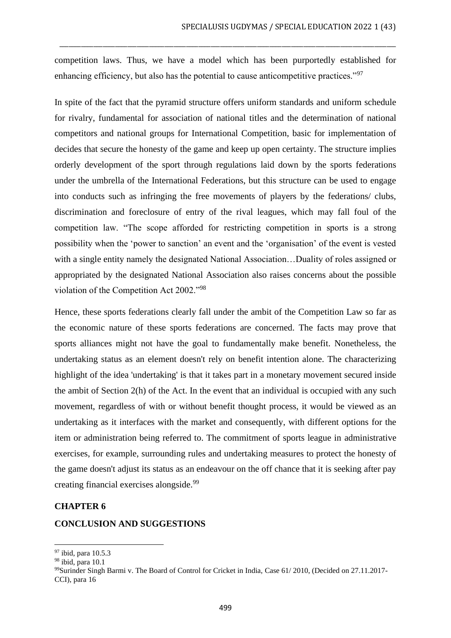competition laws. Thus, we have a model which has been purportedly established for enhancing efficiency, but also has the potential to cause anticompetitive practices."<sup>97</sup>

\_\_\_\_\_\_\_\_\_\_\_\_\_\_\_\_\_\_\_\_\_\_\_\_\_\_\_\_\_\_\_\_\_\_\_\_\_\_\_\_\_\_\_\_\_\_\_\_\_\_\_\_\_\_\_\_\_\_\_\_\_\_\_\_\_\_\_\_\_\_\_\_\_\_\_\_\_\_\_\_\_\_\_\_\_\_\_\_\_\_\_\_\_\_\_\_\_\_\_\_\_\_\_\_\_\_\_\_\_

In spite of the fact that the pyramid structure offers uniform standards and uniform schedule for rivalry, fundamental for association of national titles and the determination of national competitors and national groups for International Competition, basic for implementation of decides that secure the honesty of the game and keep up open certainty. The structure implies orderly development of the sport through regulations laid down by the sports federations under the umbrella of the International Federations, but this structure can be used to engage into conducts such as infringing the free movements of players by the federations/ clubs, discrimination and foreclosure of entry of the rival leagues, which may fall foul of the competition law. "The scope afforded for restricting competition in sports is a strong possibility when the 'power to sanction' an event and the 'organisation' of the event is vested with a single entity namely the designated National Association…Duality of roles assigned or appropriated by the designated National Association also raises concerns about the possible violation of the Competition Act 2002."<sup>98</sup>

Hence, these sports federations clearly fall under the ambit of the Competition Law so far as the economic nature of these sports federations are concerned. The facts may prove that sports alliances might not have the goal to fundamentally make benefit. Nonetheless, the undertaking status as an element doesn't rely on benefit intention alone. The characterizing highlight of the idea 'undertaking' is that it takes part in a monetary movement secured inside the ambit of Section 2(h) of the Act. In the event that an individual is occupied with any such movement, regardless of with or without benefit thought process, it would be viewed as an undertaking as it interfaces with the market and consequently, with different options for the item or administration being referred to. The commitment of sports league in administrative exercises, for example, surrounding rules and undertaking measures to protect the honesty of the game doesn't adjust its status as an endeavour on the off chance that it is seeking after pay creating financial exercises alongside.<sup>99</sup>

## **CHAPTER 6**

## **CONCLUSION AND SUGGESTIONS**

<sup>97</sup> ibid, para 10.5.3

<sup>98</sup> ibid, para 10.1

<sup>99</sup>Surinder Singh Barmi v. The Board of Control for Cricket in India, Case 61/ 2010, (Decided on 27.11.2017- CCI), para 16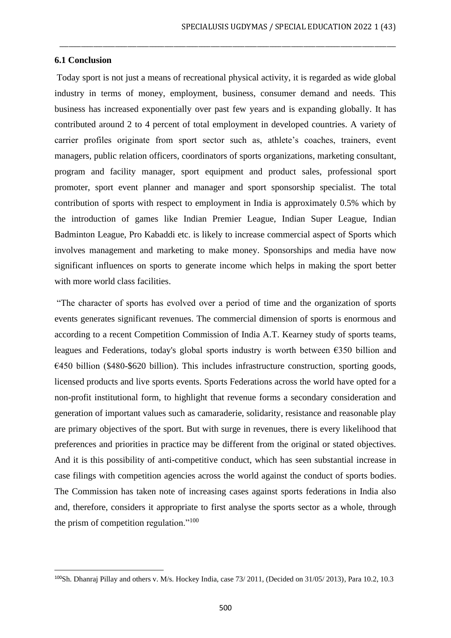### **6.1 Conclusion**

Today sport is not just a means of recreational physical activity, it is regarded as wide global industry in terms of money, employment, business, consumer demand and needs. This business has increased exponentially over past few years and is expanding globally. It has contributed around 2 to 4 percent of total employment in developed countries. A variety of carrier profiles originate from sport sector such as, athlete's coaches, trainers, event managers, public relation officers, coordinators of sports organizations, marketing consultant, program and facility manager, sport equipment and product sales, professional sport promoter, sport event planner and manager and sport sponsorship specialist. The total contribution of sports with respect to employment in India is approximately 0.5% which by the introduction of games like Indian Premier League, Indian Super League, Indian Badminton League, Pro Kabaddi etc. is likely to increase commercial aspect of Sports which involves management and marketing to make money. Sponsorships and media have now significant influences on sports to generate income which helps in making the sport better with more world class facilities.

\_\_\_\_\_\_\_\_\_\_\_\_\_\_\_\_\_\_\_\_\_\_\_\_\_\_\_\_\_\_\_\_\_\_\_\_\_\_\_\_\_\_\_\_\_\_\_\_\_\_\_\_\_\_\_\_\_\_\_\_\_\_\_\_\_\_\_\_\_\_\_\_\_\_\_\_\_\_\_\_\_\_\_\_\_\_\_\_\_\_\_\_\_\_\_\_\_\_\_\_\_\_\_\_\_\_\_\_\_

"The character of sports has evolved over a period of time and the organization of sports events generates significant revenues. The commercial dimension of sports is enormous and according to a recent Competition Commission of India A.T. Kearney study of sports teams, leagues and Federations, today's global sports industry is worth between  $\epsilon$ 350 billion and €450 billion (\$480-\$620 billion). This includes infrastructure construction, sporting goods, licensed products and live sports events. Sports Federations across the world have opted for a non-profit institutional form, to highlight that revenue forms a secondary consideration and generation of important values such as camaraderie, solidarity, resistance and reasonable play are primary objectives of the sport. But with surge in revenues, there is every likelihood that preferences and priorities in practice may be different from the original or stated objectives. And it is this possibility of anti-competitive conduct, which has seen substantial increase in case filings with competition agencies across the world against the conduct of sports bodies. The Commission has taken note of increasing cases against sports federations in India also and, therefore, considers it appropriate to first analyse the sports sector as a whole, through the prism of competition regulation."<sup>100</sup>

<sup>100</sup>Sh. Dhanraj Pillay and others v. M/s. Hockey India, case 73/ 2011, (Decided on 31/05/ 2013), Para 10.2, 10.3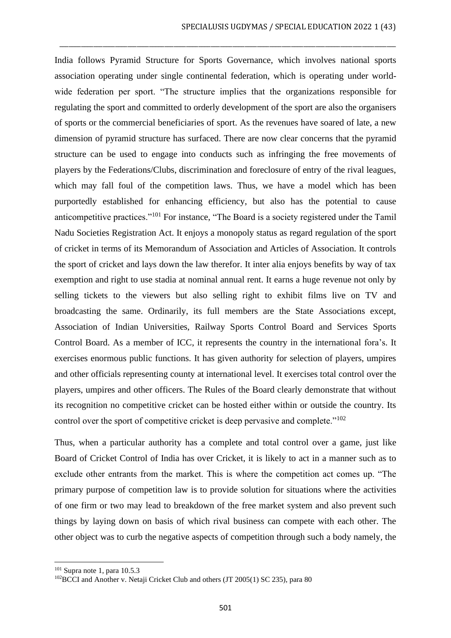India follows Pyramid Structure for Sports Governance, which involves national sports association operating under single continental federation, which is operating under worldwide federation per sport. "The structure implies that the organizations responsible for regulating the sport and committed to orderly development of the sport are also the organisers of sports or the commercial beneficiaries of sport. As the revenues have soared of late, a new dimension of pyramid structure has surfaced. There are now clear concerns that the pyramid structure can be used to engage into conducts such as infringing the free movements of players by the Federations/Clubs, discrimination and foreclosure of entry of the rival leagues, which may fall foul of the competition laws. Thus, we have a model which has been purportedly established for enhancing efficiency, but also has the potential to cause anticompetitive practices."<sup>101</sup> For instance, "The Board is a society registered under the Tamil Nadu Societies Registration Act. It enjoys a monopoly status as regard regulation of the sport of cricket in terms of its Memorandum of Association and Articles of Association. It controls the sport of cricket and lays down the law therefor. It inter alia enjoys benefits by way of tax exemption and right to use stadia at nominal annual rent. It earns a huge revenue not only by selling tickets to the viewers but also selling right to exhibit films live on TV and broadcasting the same. Ordinarily, its full members are the State Associations except, Association of Indian Universities, Railway Sports Control Board and Services Sports Control Board. As a member of ICC, it represents the country in the international fora's. It exercises enormous public functions. It has given authority for selection of players, umpires and other officials representing county at international level. It exercises total control over the players, umpires and other officers. The Rules of the Board clearly demonstrate that without its recognition no competitive cricket can be hosted either within or outside the country. Its control over the sport of competitive cricket is deep pervasive and complete."<sup>102</sup>

\_\_\_\_\_\_\_\_\_\_\_\_\_\_\_\_\_\_\_\_\_\_\_\_\_\_\_\_\_\_\_\_\_\_\_\_\_\_\_\_\_\_\_\_\_\_\_\_\_\_\_\_\_\_\_\_\_\_\_\_\_\_\_\_\_\_\_\_\_\_\_\_\_\_\_\_\_\_\_\_\_\_\_\_\_\_\_\_\_\_\_\_\_\_\_\_\_\_\_\_\_\_\_\_\_\_\_\_\_

Thus, when a particular authority has a complete and total control over a game, just like Board of Cricket Control of India has over Cricket, it is likely to act in a manner such as to exclude other entrants from the market. This is where the competition act comes up. "The primary purpose of competition law is to provide solution for situations where the activities of one firm or two may lead to breakdown of the free market system and also prevent such things by laying down on basis of which rival business can compete with each other. The other object was to curb the negative aspects of competition through such a body namely, the

 $101$  Supra note 1, para 10.5.3

 $102\text{BCCI}$  and Another v. Netaji Cricket Club and others (JT 2005(1) SC 235), para 80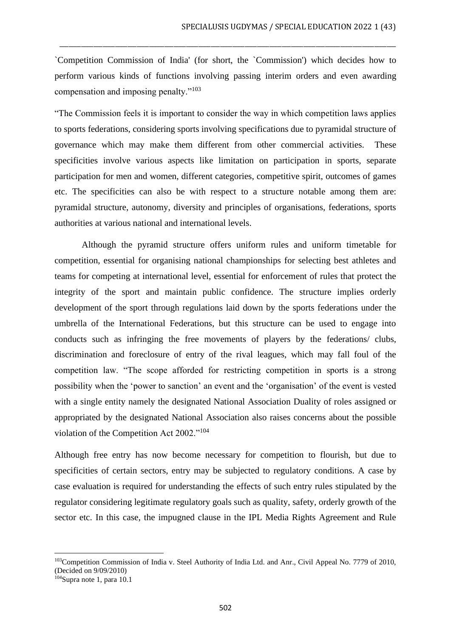`Competition Commission of India' (for short, the `Commission') which decides how to perform various kinds of functions involving passing interim orders and even awarding compensation and imposing penalty."<sup>103</sup>

\_\_\_\_\_\_\_\_\_\_\_\_\_\_\_\_\_\_\_\_\_\_\_\_\_\_\_\_\_\_\_\_\_\_\_\_\_\_\_\_\_\_\_\_\_\_\_\_\_\_\_\_\_\_\_\_\_\_\_\_\_\_\_\_\_\_\_\_\_\_\_\_\_\_\_\_\_\_\_\_\_\_\_\_\_\_\_\_\_\_\_\_\_\_\_\_\_\_\_\_\_\_\_\_\_\_\_\_\_

"The Commission feels it is important to consider the way in which competition laws applies to sports federations, considering sports involving specifications due to pyramidal structure of governance which may make them different from other commercial activities. These specificities involve various aspects like limitation on participation in sports, separate participation for men and women, different categories, competitive spirit, outcomes of games etc. The specificities can also be with respect to a structure notable among them are: pyramidal structure, autonomy, diversity and principles of organisations, federations, sports authorities at various national and international levels.

Although the pyramid structure offers uniform rules and uniform timetable for competition, essential for organising national championships for selecting best athletes and teams for competing at international level, essential for enforcement of rules that protect the integrity of the sport and maintain public confidence. The structure implies orderly development of the sport through regulations laid down by the sports federations under the umbrella of the International Federations, but this structure can be used to engage into conducts such as infringing the free movements of players by the federations/ clubs, discrimination and foreclosure of entry of the rival leagues, which may fall foul of the competition law. "The scope afforded for restricting competition in sports is a strong possibility when the 'power to sanction' an event and the 'organisation' of the event is vested with a single entity namely the designated National Association Duality of roles assigned or appropriated by the designated National Association also raises concerns about the possible violation of the Competition Act 2002."<sup>104</sup>

Although free entry has now become necessary for competition to flourish, but due to specificities of certain sectors, entry may be subjected to regulatory conditions. A case by case evaluation is required for understanding the effects of such entry rules stipulated by the regulator considering legitimate regulatory goals such as quality, safety, orderly growth of the sector etc. In this case, the impugned clause in the IPL Media Rights Agreement and Rule

<sup>&</sup>lt;sup>103</sup>Competition Commission of India v. Steel Authority of India Ltd. and Anr., Civil Appeal No. 7779 of 2010, (Decided on 9/09/2010)

 $104$ Supra note 1, para 10.1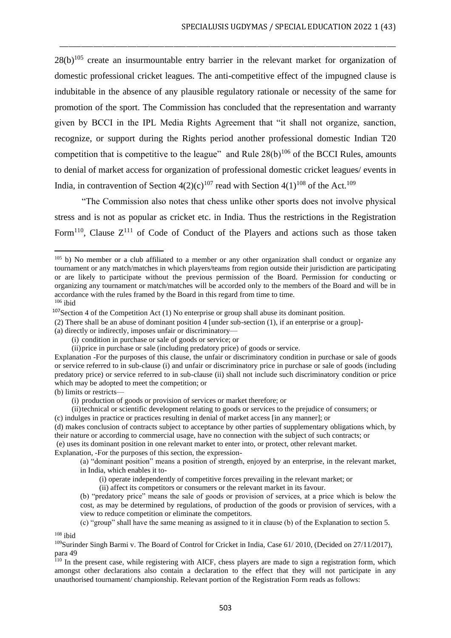$28(b)^{105}$  create an insurmountable entry barrier in the relevant market for organization of domestic professional cricket leagues. The anti-competitive effect of the impugned clause is indubitable in the absence of any plausible regulatory rationale or necessity of the same for promotion of the sport. The Commission has concluded that the representation and warranty given by BCCI in the IPL Media Rights Agreement that "it shall not organize, sanction, recognize, or support during the Rights period another professional domestic Indian T20 competition that is competitive to the league" and Rule  $28(b)^{106}$  of the BCCI Rules, amounts to denial of market access for organization of professional domestic cricket leagues/ events in India, in contravention of Section  $4(2)(c)^{107}$  read with Section  $4(1)^{108}$  of the Act.<sup>109</sup>

\_\_\_\_\_\_\_\_\_\_\_\_\_\_\_\_\_\_\_\_\_\_\_\_\_\_\_\_\_\_\_\_\_\_\_\_\_\_\_\_\_\_\_\_\_\_\_\_\_\_\_\_\_\_\_\_\_\_\_\_\_\_\_\_\_\_\_\_\_\_\_\_\_\_\_\_\_\_\_\_\_\_\_\_\_\_\_\_\_\_\_\_\_\_\_\_\_\_\_\_\_\_\_\_\_\_\_\_\_

"The Commission also notes that chess unlike other sports does not involve physical stress and is not as popular as cricket etc. in India. Thus the restrictions in the Registration Form $110$ . Clause  $Z^{111}$  of Code of Conduct of the Players and actions such as those taken

 $106$  ibid

- (2) There shall be an abuse of dominant position 4 [under sub-section (1), if an enterprise or a group]-
- (a) directly or indirectly, imposes unfair or discriminatory—
	- (i) condition in purchase or sale of goods or service; or
	- (ii)price in purchase or sale (including predatory price) of goods or service.

(b) limits or restricts—

(ii) affect its competitors or consumers or the relevant market in its favour.

 $108$  ibid

 $105$  b) No member or a club affiliated to a member or any other organization shall conduct or organize any tournament or any match/matches in which players/teams from region outside their jurisdiction are participating or are likely to participate without the previous permission of the Board. Permission for conducting or organizing any tournament or match/matches will be accorded only to the members of the Board and will be in accordance with the rules framed by the Board in this regard from time to time.

<sup>&</sup>lt;sup>107</sup>Section 4 of the Competition Act (1) No enterprise or group shall abuse its dominant position.

Explanation -For the purposes of this clause, the unfair or discriminatory condition in purchase or sale of goods or service referred to in sub-clause (i) and unfair or discriminatory price in purchase or sale of goods (including predatory price) or service referred to in sub-clause (ii) shall not include such discriminatory condition or price which may be adopted to meet the competition; or

<sup>(</sup>i) production of goods or provision of services or market therefore; or

<sup>(</sup>ii)technical or scientific development relating to goods or services to the prejudice of consumers; or (c) indulges in practice or practices resulting in denial of market access [in any manner]; or

<sup>(</sup>d) makes conclusion of contracts subject to acceptance by other parties of supplementary obligations which, by their nature or according to commercial usage, have no connection with the subject of such contracts; or

<sup>(</sup>e) uses its dominant position in one relevant market to enter into, or protect, other relevant market. Explanation, -For the purposes of this section, the expression-

<sup>(</sup>a) "dominant position" means a position of strength, enjoyed by an enterprise, in the relevant market, in India, which enables it to-

<sup>(</sup>i) operate independently of competitive forces prevailing in the relevant market; or

<sup>(</sup>b) "predatory price" means the sale of goods or provision of services, at a price which is below the cost, as may be determined by regulations, of production of the goods or provision of services, with a view to reduce competition or eliminate the competitors.

<sup>(</sup>c) "group" shall have the same meaning as assigned to it in clause (b) of the Explanation to section 5.

<sup>&</sup>lt;sup>109</sup>Surinder Singh Barmi v. The Board of Control for Cricket in India, Case 61/2010, (Decided on 27/11/2017), para 49

<sup>&</sup>lt;sup>110</sup> In the present case, while registering with AICF, chess players are made to sign a registration form, which amongst other declarations also contain a declaration to the effect that they will not participate in any unauthorised tournament/ championship. Relevant portion of the Registration Form reads as follows: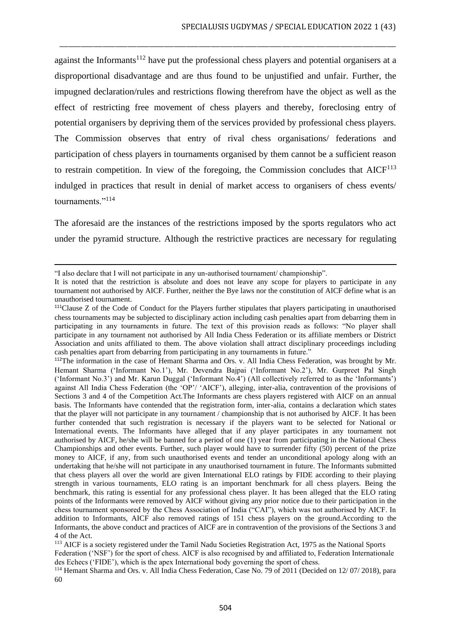against the Informants<sup>112</sup> have put the professional chess players and potential organisers at a disproportional disadvantage and are thus found to be unjustified and unfair. Further, the impugned declaration/rules and restrictions flowing therefrom have the object as well as the effect of restricting free movement of chess players and thereby, foreclosing entry of potential organisers by depriving them of the services provided by professional chess players. The Commission observes that entry of rival chess organisations/ federations and participation of chess players in tournaments organised by them cannot be a sufficient reason to restrain competition. In view of the foregoing, the Commission concludes that  $AICF<sup>113</sup>$ indulged in practices that result in denial of market access to organisers of chess events/ tournaments."<sup>114</sup>

\_\_\_\_\_\_\_\_\_\_\_\_\_\_\_\_\_\_\_\_\_\_\_\_\_\_\_\_\_\_\_\_\_\_\_\_\_\_\_\_\_\_\_\_\_\_\_\_\_\_\_\_\_\_\_\_\_\_\_\_\_\_\_\_\_\_\_\_\_\_\_\_\_\_\_\_\_\_\_\_\_\_\_\_\_\_\_\_\_\_\_\_\_\_\_\_\_\_\_\_\_\_\_\_\_\_\_\_\_

The aforesaid are the instances of the restrictions imposed by the sports regulators who act under the pyramid structure. Although the restrictive practices are necessary for regulating

<sup>&</sup>quot;I also declare that I will not participate in any un-authorised tournament/ championship".

It is noted that the restriction is absolute and does not leave any scope for players to participate in any tournament not authorised by AICF. Further, neither the Bye laws nor the constitution of AICF define what is an unauthorised tournament.

<sup>&</sup>lt;sup>111</sup>Clause Z of the Code of Conduct for the Players further stipulates that players participating in unauthorised chess tournaments may be subjected to disciplinary action including cash penalties apart from debarring them in participating in any tournaments in future. The text of this provision reads as follows: "No player shall participate in any tournament not authorised by All India Chess Federation or its affiliate members or District Association and units affiliated to them. The above violation shall attract disciplinary proceedings including cash penalties apart from debarring from participating in any tournaments in future."

<sup>112</sup>The information in the case of Hemant Sharma and Ors. v. All India Chess Federation, was brought by Mr. Hemant Sharma ('Informant No.1'), Mr. Devendra Bajpai ('Informant No.2'), Mr. Gurpreet Pal Singh ('Informant No.3') and Mr. Karun Duggal ('Informant No.4') (All collectively referred to as the 'Informants') against All India Chess Federation (the 'OP'/ 'AICF'), alleging, inter-alia, contravention of the provisions of Sections 3 and 4 of the Competition Act.The Informants are chess players registered with AICF on an annual basis. The Informants have contended that the registration form, inter-alia, contains a declaration which states that the player will not participate in any tournament / championship that is not authorised by AICF. It has been further contended that such registration is necessary if the players want to be selected for National or International events. The Informants have alleged that if any player participates in any tournament not authorised by AICF, he/she will be banned for a period of one (1) year from participating in the National Chess Championships and other events. Further, such player would have to surrender fifty (50) percent of the prize money to AICF, if any, from such unauthorised events and tender an unconditional apology along with an undertaking that he/she will not participate in any unauthorised tournament in future. The Informants submitted that chess players all over the world are given International ELO ratings by FIDE according to their playing strength in various tournaments, ELO rating is an important benchmark for all chess players. Being the benchmark, this rating is essential for any professional chess player. It has been alleged that the ELO rating points of the Informants were removed by AICF without giving any prior notice due to their participation in the chess tournament sponsored by the Chess Association of India ("CAI"), which was not authorised by AICF. In addition to Informants, AICF also removed ratings of 151 chess players on the ground.According to the Informants, the above conduct and practices of AICF are in contravention of the provisions of the Sections 3 and 4 of the Act.

<sup>&</sup>lt;sup>113</sup> AICF is a society registered under the Tamil Nadu Societies Registration Act, 1975 as the National Sports Federation ('NSF') for the sport of chess. AICF is also recognised by and affiliated to, Federation Internationale des Echecs ('FIDE'), which is the apex International body governing the sport of chess.

<sup>&</sup>lt;sup>114</sup> Hemant Sharma and Ors. v. All India Chess Federation, Case No. 79 of 2011 (Decided on 12/07/2018), para 60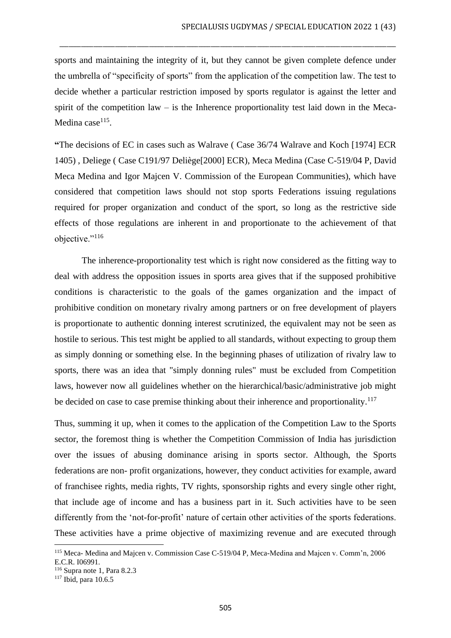sports and maintaining the integrity of it, but they cannot be given complete defence under the umbrella of "specificity of sports" from the application of the competition law. The test to decide whether a particular restriction imposed by sports regulator is against the letter and spirit of the competition  $law - is$  the Inherence proportionality test laid down in the Meca-Medina case<sup>115</sup>.

\_\_\_\_\_\_\_\_\_\_\_\_\_\_\_\_\_\_\_\_\_\_\_\_\_\_\_\_\_\_\_\_\_\_\_\_\_\_\_\_\_\_\_\_\_\_\_\_\_\_\_\_\_\_\_\_\_\_\_\_\_\_\_\_\_\_\_\_\_\_\_\_\_\_\_\_\_\_\_\_\_\_\_\_\_\_\_\_\_\_\_\_\_\_\_\_\_\_\_\_\_\_\_\_\_\_\_\_\_

**"**The decisions of EC in cases such as Walrave ( Case 36/74 Walrave and Koch [1974] ECR 1405) , Deliege ( Case C191/97 Deliège[2000] ECR), Meca Medina (Case C-519/04 P, David Meca Medina and Igor Majcen V. Commission of the European Communities), which have considered that competition laws should not stop sports Federations issuing regulations required for proper organization and conduct of the sport, so long as the restrictive side effects of those regulations are inherent in and proportionate to the achievement of that objective."<sup>116</sup>

The inherence-proportionality test which is right now considered as the fitting way to deal with address the opposition issues in sports area gives that if the supposed prohibitive conditions is characteristic to the goals of the games organization and the impact of prohibitive condition on monetary rivalry among partners or on free development of players is proportionate to authentic donning interest scrutinized, the equivalent may not be seen as hostile to serious. This test might be applied to all standards, without expecting to group them as simply donning or something else. In the beginning phases of utilization of rivalry law to sports, there was an idea that "simply donning rules" must be excluded from Competition laws, however now all guidelines whether on the hierarchical/basic/administrative job might be decided on case to case premise thinking about their inherence and proportionality.<sup>117</sup>

Thus, summing it up, when it comes to the application of the Competition Law to the Sports sector, the foremost thing is whether the Competition Commission of India has jurisdiction over the issues of abusing dominance arising in sports sector. Although, the Sports federations are non- profit organizations, however, they conduct activities for example, award of franchisee rights, media rights, TV rights, sponsorship rights and every single other right, that include age of income and has a business part in it. Such activities have to be seen differently from the 'not-for-profit' nature of certain other activities of the sports federations. These activities have a prime objective of maximizing revenue and are executed through

<sup>115</sup> Meca- Medina and Majcen v. Commission Case C-519/04 P, Meca-Medina and Majcen v. Comm'n, 2006 E.C.R. I06991.

<sup>116</sup> Supra note 1, Para 8.2.3

<sup>117</sup> Ibid, para 10.6.5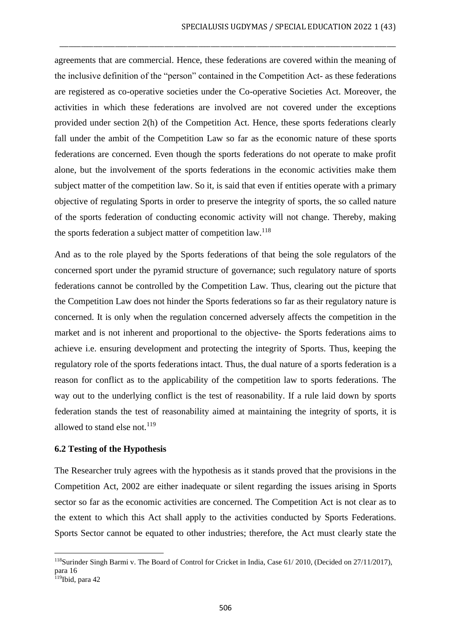agreements that are commercial. Hence, these federations are covered within the meaning of the inclusive definition of the "person" contained in the Competition Act- as these federations are registered as co-operative societies under the Co-operative Societies Act. Moreover, the activities in which these federations are involved are not covered under the exceptions provided under section 2(h) of the Competition Act. Hence, these sports federations clearly fall under the ambit of the Competition Law so far as the economic nature of these sports federations are concerned. Even though the sports federations do not operate to make profit alone, but the involvement of the sports federations in the economic activities make them subject matter of the competition law. So it, is said that even if entities operate with a primary objective of regulating Sports in order to preserve the integrity of sports, the so called nature of the sports federation of conducting economic activity will not change. Thereby, making the sports federation a subject matter of competition law.<sup>118</sup>

\_\_\_\_\_\_\_\_\_\_\_\_\_\_\_\_\_\_\_\_\_\_\_\_\_\_\_\_\_\_\_\_\_\_\_\_\_\_\_\_\_\_\_\_\_\_\_\_\_\_\_\_\_\_\_\_\_\_\_\_\_\_\_\_\_\_\_\_\_\_\_\_\_\_\_\_\_\_\_\_\_\_\_\_\_\_\_\_\_\_\_\_\_\_\_\_\_\_\_\_\_\_\_\_\_\_\_\_\_

And as to the role played by the Sports federations of that being the sole regulators of the concerned sport under the pyramid structure of governance; such regulatory nature of sports federations cannot be controlled by the Competition Law. Thus, clearing out the picture that the Competition Law does not hinder the Sports federations so far as their regulatory nature is concerned. It is only when the regulation concerned adversely affects the competition in the market and is not inherent and proportional to the objective- the Sports federations aims to achieve i.e. ensuring development and protecting the integrity of Sports. Thus, keeping the regulatory role of the sports federations intact. Thus, the dual nature of a sports federation is a reason for conflict as to the applicability of the competition law to sports federations. The way out to the underlying conflict is the test of reasonability. If a rule laid down by sports federation stands the test of reasonability aimed at maintaining the integrity of sports, it is allowed to stand else not. $119$ 

## **6.2 Testing of the Hypothesis**

The Researcher truly agrees with the hypothesis as it stands proved that the provisions in the Competition Act, 2002 are either inadequate or silent regarding the issues arising in Sports sector so far as the economic activities are concerned. The Competition Act is not clear as to the extent to which this Act shall apply to the activities conducted by Sports Federations. Sports Sector cannot be equated to other industries; therefore, the Act must clearly state the

<sup>118</sup>Surinder Singh Barmi v. The Board of Control for Cricket in India, Case 61/ 2010, (Decided on 27/11/2017), para 16  $119$ Ibid, para 42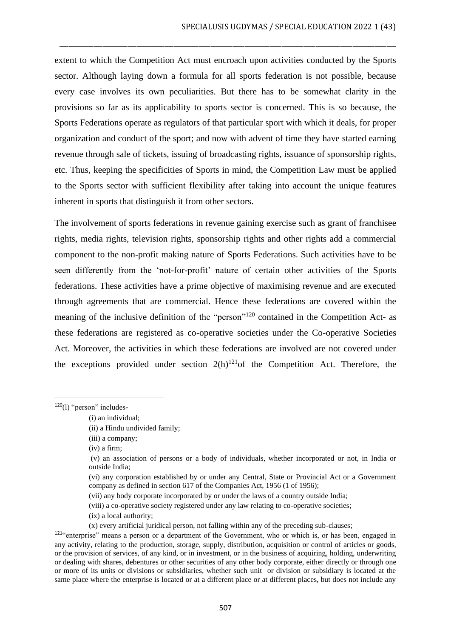extent to which the Competition Act must encroach upon activities conducted by the Sports sector. Although laying down a formula for all sports federation is not possible, because every case involves its own peculiarities. But there has to be somewhat clarity in the provisions so far as its applicability to sports sector is concerned. This is so because, the Sports Federations operate as regulators of that particular sport with which it deals, for proper organization and conduct of the sport; and now with advent of time they have started earning revenue through sale of tickets, issuing of broadcasting rights, issuance of sponsorship rights, etc. Thus, keeping the specificities of Sports in mind, the Competition Law must be applied to the Sports sector with sufficient flexibility after taking into account the unique features inherent in sports that distinguish it from other sectors.

\_\_\_\_\_\_\_\_\_\_\_\_\_\_\_\_\_\_\_\_\_\_\_\_\_\_\_\_\_\_\_\_\_\_\_\_\_\_\_\_\_\_\_\_\_\_\_\_\_\_\_\_\_\_\_\_\_\_\_\_\_\_\_\_\_\_\_\_\_\_\_\_\_\_\_\_\_\_\_\_\_\_\_\_\_\_\_\_\_\_\_\_\_\_\_\_\_\_\_\_\_\_\_\_\_\_\_\_\_

The involvement of sports federations in revenue gaining exercise such as grant of franchisee rights, media rights, television rights, sponsorship rights and other rights add a commercial component to the non-profit making nature of Sports Federations. Such activities have to be seen differently from the 'not-for-profit' nature of certain other activities of the Sports federations. These activities have a prime objective of maximising revenue and are executed through agreements that are commercial. Hence these federations are covered within the meaning of the inclusive definition of the "person"<sup>120</sup> contained in the Competition Act- as these federations are registered as co-operative societies under the Co-operative Societies Act. Moreover, the activities in which these federations are involved are not covered under the exceptions provided under section  $2(h)^{12}$  of the Competition Act. Therefore, the

<sup>120</sup>(1) "person" includes-

(iv) a firm;

(vii) any body corporate incorporated by or under the laws of a country outside India;

(ix) a local authority;

<sup>(</sup>i) an individual;

<sup>(</sup>ii) a Hindu undivided family;

<sup>(</sup>iii) a company;

<sup>(</sup>v) an association of persons or a body of individuals, whether incorporated or not, in India or outside India;

<sup>(</sup>vi) any corporation established by or under any Central, State or Provincial Act or a Government company as defined in section 617 of the Companies Act, 1956 (1 of 1956);

<sup>(</sup>viii) a co-operative society registered under any law relating to co-operative societies;

<sup>(</sup>x) every artificial juridical person, not falling within any of the preceding sub-clauses;

<sup>&</sup>lt;sup>121"</sup>enterprise" means a person or a department of the Government, who or which is, or has been, engaged in any activity, relating to the production, storage, supply, distribution, acquisition or control of articles or goods, or the provision of services, of any kind, or in investment, or in the business of acquiring, holding, underwriting or dealing with shares, debentures or other securities of any other body corporate, either directly or through one or more of its units or divisions or subsidiaries, whether such unit or division or subsidiary is located at the same place where the enterprise is located or at a different place or at different places, but does not include any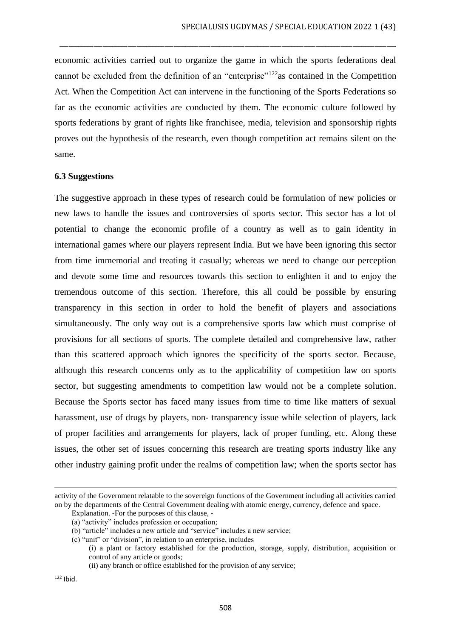economic activities carried out to organize the game in which the sports federations deal cannot be excluded from the definition of an "enterprise"<sup>122</sup>as contained in the Competition Act. When the Competition Act can intervene in the functioning of the Sports Federations so far as the economic activities are conducted by them. The economic culture followed by sports federations by grant of rights like franchisee, media, television and sponsorship rights proves out the hypothesis of the research, even though competition act remains silent on the same.

\_\_\_\_\_\_\_\_\_\_\_\_\_\_\_\_\_\_\_\_\_\_\_\_\_\_\_\_\_\_\_\_\_\_\_\_\_\_\_\_\_\_\_\_\_\_\_\_\_\_\_\_\_\_\_\_\_\_\_\_\_\_\_\_\_\_\_\_\_\_\_\_\_\_\_\_\_\_\_\_\_\_\_\_\_\_\_\_\_\_\_\_\_\_\_\_\_\_\_\_\_\_\_\_\_\_\_\_\_

### **6.3 Suggestions**

The suggestive approach in these types of research could be formulation of new policies or new laws to handle the issues and controversies of sports sector. This sector has a lot of potential to change the economic profile of a country as well as to gain identity in international games where our players represent India. But we have been ignoring this sector from time immemorial and treating it casually; whereas we need to change our perception and devote some time and resources towards this section to enlighten it and to enjoy the tremendous outcome of this section. Therefore, this all could be possible by ensuring transparency in this section in order to hold the benefit of players and associations simultaneously. The only way out is a comprehensive sports law which must comprise of provisions for all sections of sports. The complete detailed and comprehensive law, rather than this scattered approach which ignores the specificity of the sports sector. Because, although this research concerns only as to the applicability of competition law on sports sector, but suggesting amendments to competition law would not be a complete solution. Because the Sports sector has faced many issues from time to time like matters of sexual harassment, use of drugs by players, non- transparency issue while selection of players, lack of proper facilities and arrangements for players, lack of proper funding, etc. Along these issues, the other set of issues concerning this research are treating sports industry like any other industry gaining profit under the realms of competition law; when the sports sector has

(b) "article" includes a new article and "service" includes a new service;

 $122$  Ibid.

activity of the Government relatable to the sovereign functions of the Government including all activities carried on by the departments of the Central Government dealing with atomic energy, currency, defence and space.

Explanation. -For the purposes of this clause, -

<sup>(</sup>a) "activity" includes profession or occupation;

<sup>(</sup>c) "unit" or "division", in relation to an enterprise, includes

<sup>(</sup>i) a plant or factory established for the production, storage, supply, distribution, acquisition or control of any article or goods;

<sup>(</sup>ii) any branch or office established for the provision of any service;